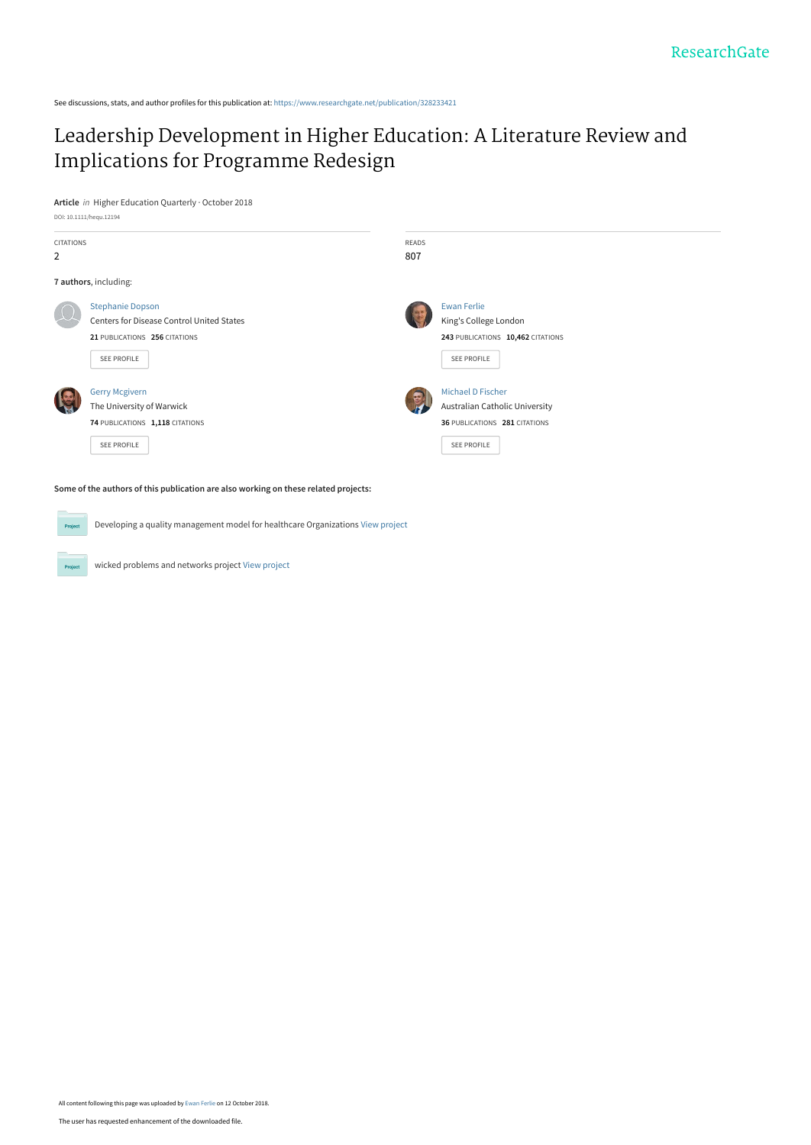See discussions, stats, and author profiles for this publication at: [https://www.researchgate.net/publication/328233421](https://www.researchgate.net/publication/328233421_Leadership_Development_in_Higher_Education_A_Literature_Review_and_Implications_for_Programme_Redesign?enrichId=rgreq-747734ae9b1c701df6a26b5d80004275-XXX&enrichSource=Y292ZXJQYWdlOzMyODIzMzQyMTtBUzo2ODA4NDcxNDk2Mjk0NTJAMTUzOTMzODAxODk1MA%3D%3D&el=1_x_2&_esc=publicationCoverPdf)

# [Leadership Development in Higher Education: A Literature Review and](https://www.researchgate.net/publication/328233421_Leadership_Development_in_Higher_Education_A_Literature_Review_and_Implications_for_Programme_Redesign?enrichId=rgreq-747734ae9b1c701df6a26b5d80004275-XXX&enrichSource=Y292ZXJQYWdlOzMyODIzMzQyMTtBUzo2ODA4NDcxNDk2Mjk0NTJAMTUzOTMzODAxODk1MA%3D%3D&el=1_x_3&_esc=publicationCoverPdf) Implications for Programme Redesign

**Article** in Higher Education Quarterly · October 2018 DOI: 10.1111/hequ.12194



Developing a quality management model for healthcare Organizations [View project](https://www.researchgate.net/project/Developing-a-quality-management-model-for-healthcare-Organizations?enrichId=rgreq-747734ae9b1c701df6a26b5d80004275-XXX&enrichSource=Y292ZXJQYWdlOzMyODIzMzQyMTtBUzo2ODA4NDcxNDk2Mjk0NTJAMTUzOTMzODAxODk1MA%3D%3D&el=1_x_9&_esc=publicationCoverPdf)

wicked problems and networks project [View project](https://www.researchgate.net/project/wicked-problems-and-networks-project?enrichId=rgreq-747734ae9b1c701df6a26b5d80004275-XXX&enrichSource=Y292ZXJQYWdlOzMyODIzMzQyMTtBUzo2ODA4NDcxNDk2Mjk0NTJAMTUzOTMzODAxODk1MA%3D%3D&el=1_x_9&_esc=publicationCoverPdf)

 $Pro$ 

Project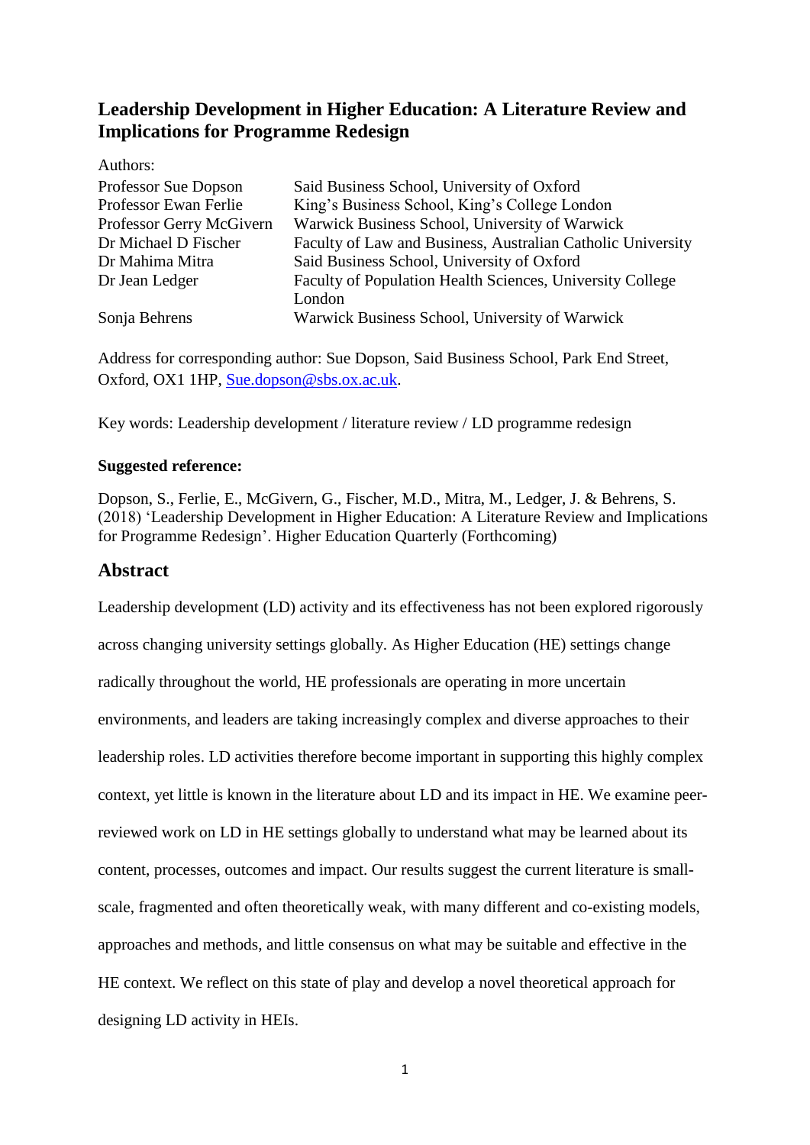# **Leadership Development in Higher Education: A Literature Review and Implications for Programme Redesign**

Authors:

| Professor Sue Dopson     | Said Business School, University of Oxford                  |
|--------------------------|-------------------------------------------------------------|
| Professor Ewan Ferlie    | King's Business School, King's College London               |
| Professor Gerry McGivern | Warwick Business School, University of Warwick              |
| Dr Michael D Fischer     | Faculty of Law and Business, Australian Catholic University |
| Dr Mahima Mitra          | Said Business School, University of Oxford                  |
| Dr Jean Ledger           | Faculty of Population Health Sciences, University College   |
|                          | London                                                      |
| Sonja Behrens            | Warwick Business School, University of Warwick              |

Address for corresponding author: Sue Dopson, Said Business School, Park End Street, Oxford, OX1 1HP, [Sue.dopson@sbs.ox.ac.uk.](mailto:Sue.dopson@sbs.ox.ac.uk)

Key words: Leadership development / literature review / LD programme redesign

# **Suggested reference:**

Dopson, S., Ferlie, E., McGivern, G., Fischer, M.D., Mitra, M., Ledger, J. & Behrens, S. (2018) 'Leadership Development in Higher Education: A Literature Review and Implications for Programme Redesign'. Higher Education Quarterly (Forthcoming)

# **Abstract**

Leadership development (LD) activity and its effectiveness has not been explored rigorously across changing university settings globally. As Higher Education (HE) settings change radically throughout the world, HE professionals are operating in more uncertain environments, and leaders are taking increasingly complex and diverse approaches to their leadership roles. LD activities therefore become important in supporting this highly complex context, yet little is known in the literature about LD and its impact in HE. We examine peerreviewed work on LD in HE settings globally to understand what may be learned about its content, processes, outcomes and impact. Our results suggest the current literature is smallscale, fragmented and often theoretically weak, with many different and co-existing models, approaches and methods, and little consensus on what may be suitable and effective in the HE context. We reflect on this state of play and develop a novel theoretical approach for designing LD activity in HEIs.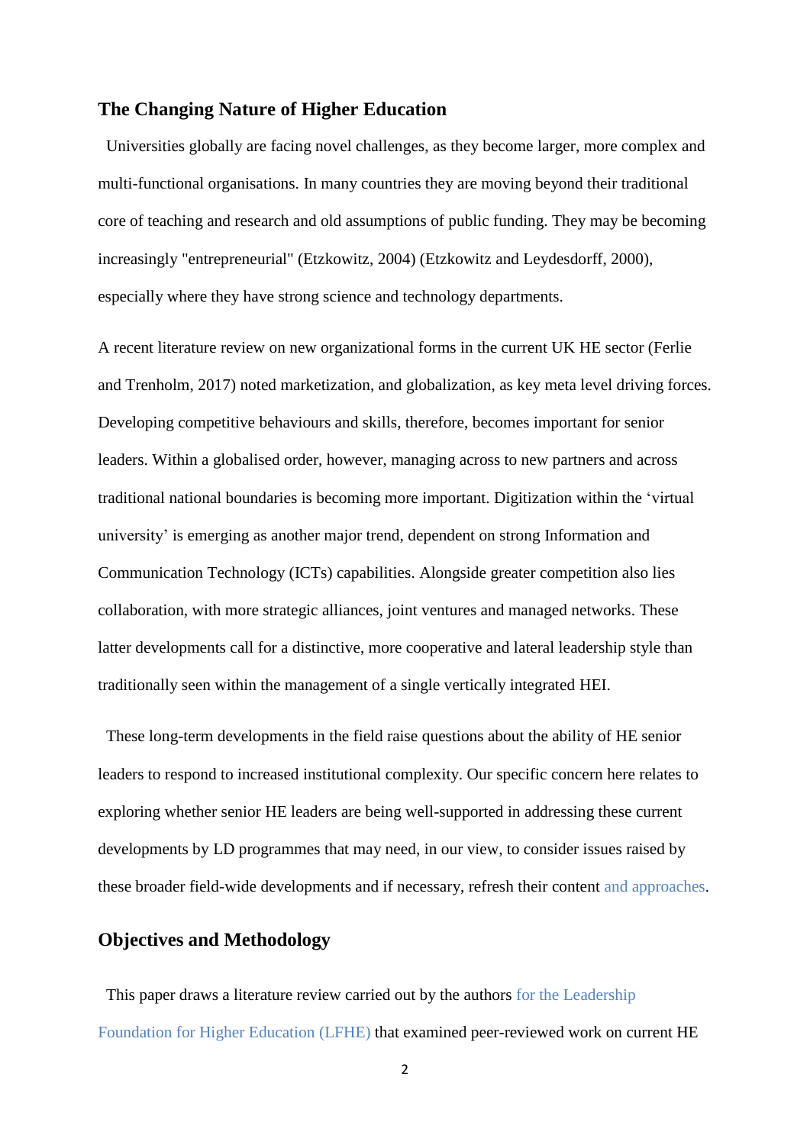### **The Changing Nature of Higher Education**

 Universities globally are facing novel challenges, as they become larger, more complex and multi-functional organisations. In many countries they are moving beyond their traditional core of teaching and research and old assumptions of public funding. They may be becoming increasingly "entrepreneurial" (Etzkowitz, 2004) (Etzkowitz and Leydesdorff, 2000), especially where they have strong science and technology departments.

A recent literature review on new organizational forms in the current UK HE sector (Ferlie and Trenholm, 2017) noted marketization, and globalization, as key meta level driving forces. Developing competitive behaviours and skills, therefore, becomes important for senior leaders. Within a globalised order, however, managing across to new partners and across traditional national boundaries is becoming more important. Digitization within the 'virtual university' is emerging as another major trend, dependent on strong Information and Communication Technology (ICTs) capabilities. Alongside greater competition also lies collaboration, with more strategic alliances, joint ventures and managed networks. These latter developments call for a distinctive, more cooperative and lateral leadership style than traditionally seen within the management of a single vertically integrated HEI.

 These long-term developments in the field raise questions about the ability of HE senior leaders to respond to increased institutional complexity. Our specific concern here relates to exploring whether senior HE leaders are being well-supported in addressing these current developments by LD programmes that may need, in our view, to consider issues raised by these broader field-wide developments and if necessary, refresh their content and approaches.

# **Objectives and Methodology**

 This paper draws a literature review carried out by the authors for the Leadership Foundation for Higher Education (LFHE) that examined peer-reviewed work on current HE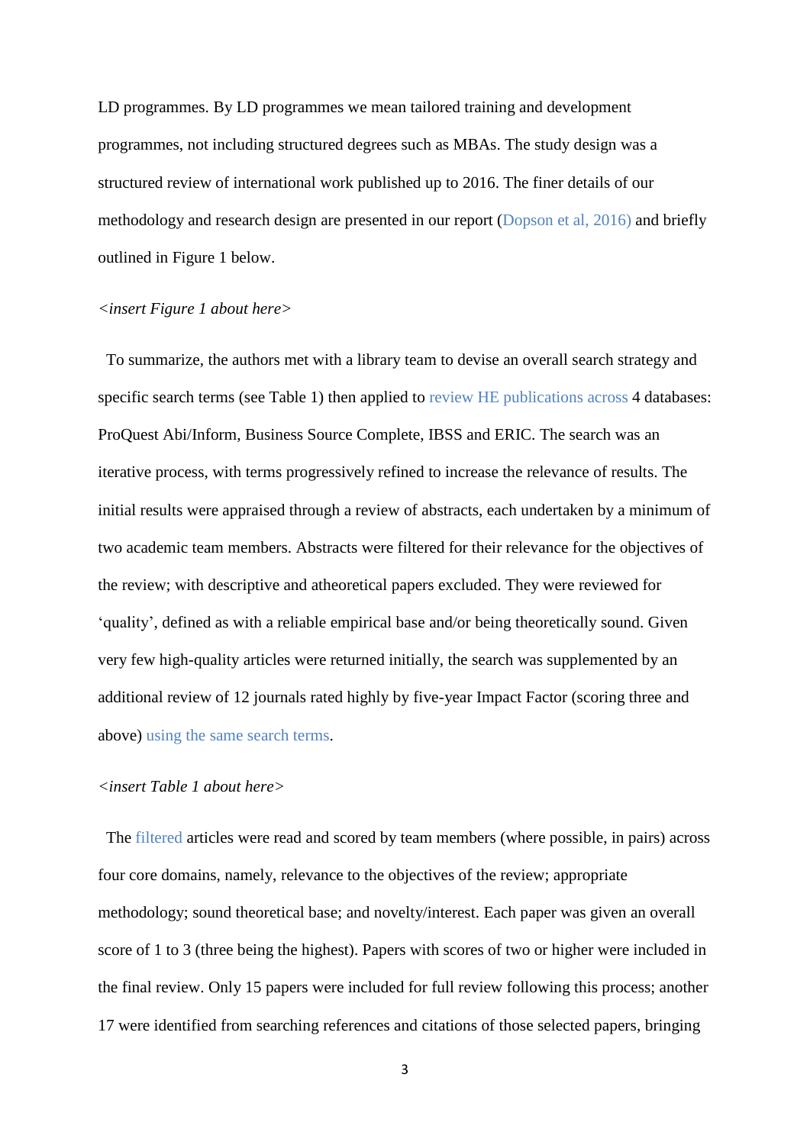LD programmes. By LD programmes we mean tailored training and development programmes, not including structured degrees such as MBAs. The study design was a structured review of international work published up to 2016. The finer details of our methodology and research design are presented in our report (Dopson et al, 2016) and briefly outlined in Figure 1 below.

#### *<insert Figure 1 about here>*

 To summarize, the authors met with a library team to devise an overall search strategy and specific search terms (see Table 1) then applied to review HE publications across 4 databases: ProQuest Abi/Inform, Business Source Complete, IBSS and ERIC. The search was an iterative process, with terms progressively refined to increase the relevance of results. The initial results were appraised through a review of abstracts, each undertaken by a minimum of two academic team members. Abstracts were filtered for their relevance for the objectives of the review; with descriptive and atheoretical papers excluded. They were reviewed for 'quality', defined as with a reliable empirical base and/or being theoretically sound. Given very few high-quality articles were returned initially, the search was supplemented by an additional review of 12 journals rated highly by five-year Impact Factor (scoring three and above) using the same search terms.

#### *<insert Table 1 about here>*

 The filtered articles were read and scored by team members (where possible, in pairs) across four core domains, namely, relevance to the objectives of the review; appropriate methodology; sound theoretical base; and novelty/interest. Each paper was given an overall score of 1 to 3 (three being the highest). Papers with scores of two or higher were included in the final review. Only 15 papers were included for full review following this process; another 17 were identified from searching references and citations of those selected papers, bringing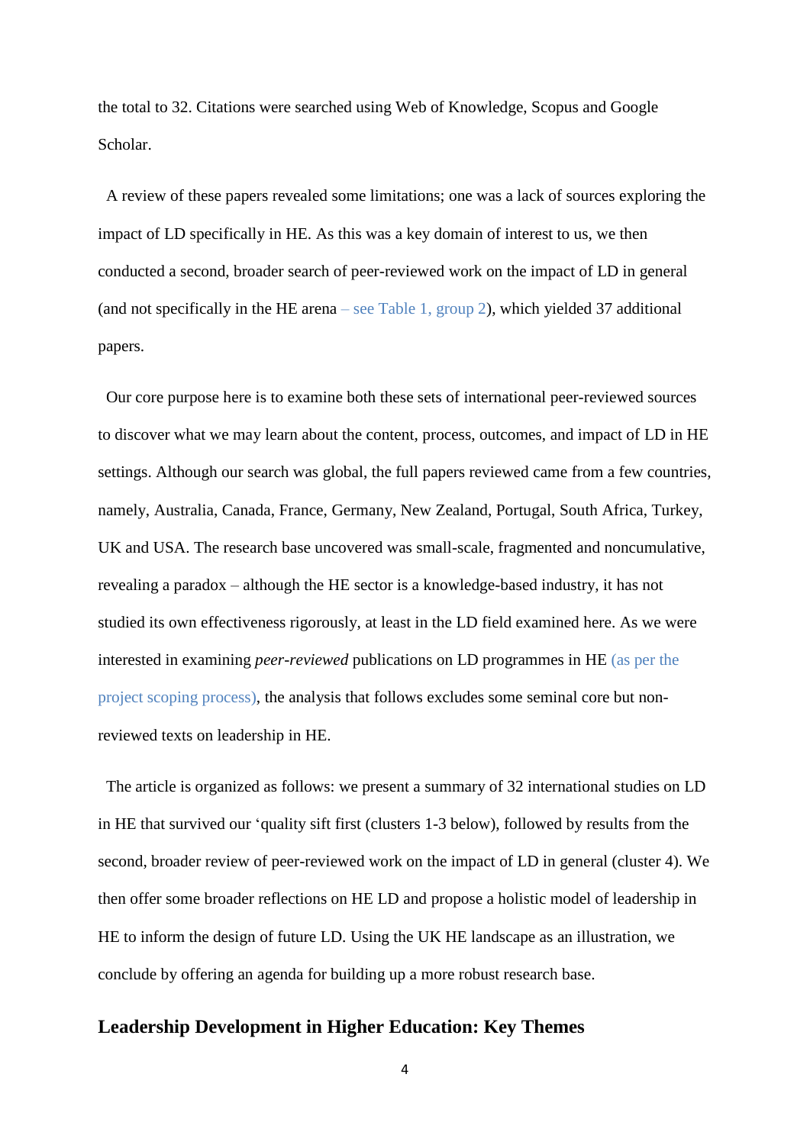the total to 32. Citations were searched using Web of Knowledge, Scopus and Google Scholar.

 A review of these papers revealed some limitations; one was a lack of sources exploring the impact of LD specifically in HE. As this was a key domain of interest to us, we then conducted a second, broader search of peer-reviewed work on the impact of LD in general (and not specifically in the HE arena – see Table 1, group 2), which yielded 37 additional papers.

 Our core purpose here is to examine both these sets of international peer-reviewed sources to discover what we may learn about the content, process, outcomes, and impact of LD in HE settings. Although our search was global, the full papers reviewed came from a few countries, namely, Australia, Canada, France, Germany, New Zealand, Portugal, South Africa, Turkey, UK and USA. The research base uncovered was small-scale, fragmented and noncumulative, revealing a paradox – although the HE sector is a knowledge-based industry, it has not studied its own effectiveness rigorously, at least in the LD field examined here. As we were interested in examining *peer-reviewed* publications on LD programmes in HE (as per the project scoping process), the analysis that follows excludes some seminal core but nonreviewed texts on leadership in HE.

 The article is organized as follows: we present a summary of 32 international studies on LD in HE that survived our 'quality sift first (clusters 1-3 below), followed by results from the second, broader review of peer-reviewed work on the impact of LD in general (cluster 4). We then offer some broader reflections on HE LD and propose a holistic model of leadership in HE to inform the design of future LD. Using the UK HE landscape as an illustration, we conclude by offering an agenda for building up a more robust research base.

# **Leadership Development in Higher Education: Key Themes**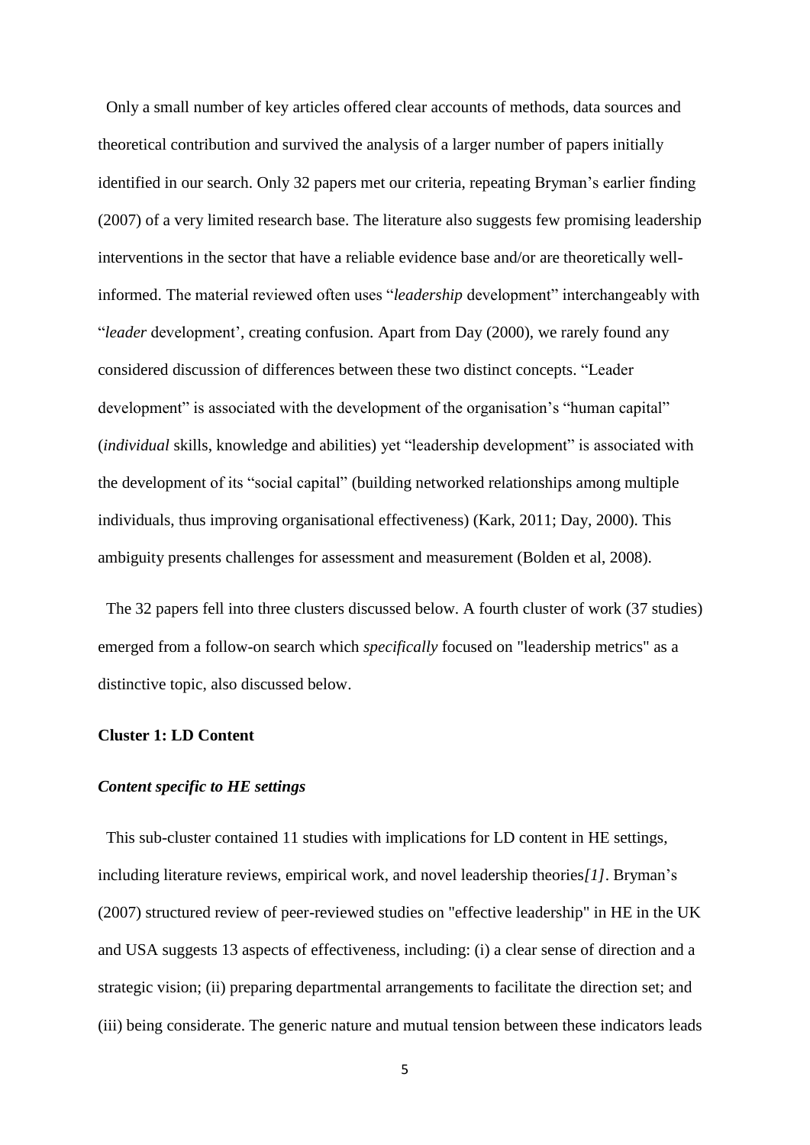Only a small number of key articles offered clear accounts of methods, data sources and theoretical contribution and survived the analysis of a larger number of papers initially identified in our search. Only 32 papers met our criteria, repeating Bryman's earlier finding (2007) of a very limited research base. The literature also suggests few promising leadership interventions in the sector that have a reliable evidence base and/or are theoretically wellinformed. The material reviewed often uses "*leadership* development" interchangeably with "*leader* development', creating confusion. Apart from Day (2000), we rarely found any considered discussion of differences between these two distinct concepts. "Leader development" is associated with the development of the organisation's "human capital" (*individual* skills, knowledge and abilities) yet "leadership development" is associated with the development of its "social capital" (building networked relationships among multiple individuals, thus improving organisational effectiveness) (Kark, 2011; Day, 2000). This ambiguity presents challenges for assessment and measurement (Bolden et al, 2008).

 The 32 papers fell into three clusters discussed below. A fourth cluster of work (37 studies) emerged from a follow-on search which *specifically* focused on "leadership metrics" as a distinctive topic, also discussed below.

#### **Cluster 1: LD Content**

#### *Content specific to HE settings*

 This sub-cluster contained 11 studies with implications for LD content in HE settings, including literature reviews, empirical work, and novel leadership theories*[1]*. Bryman's (2007) structured review of peer-reviewed studies on "effective leadership" in HE in the UK and USA suggests 13 aspects of effectiveness, including: (i) a clear sense of direction and a strategic vision; (ii) preparing departmental arrangements to facilitate the direction set; and (iii) being considerate. The generic nature and mutual tension between these indicators leads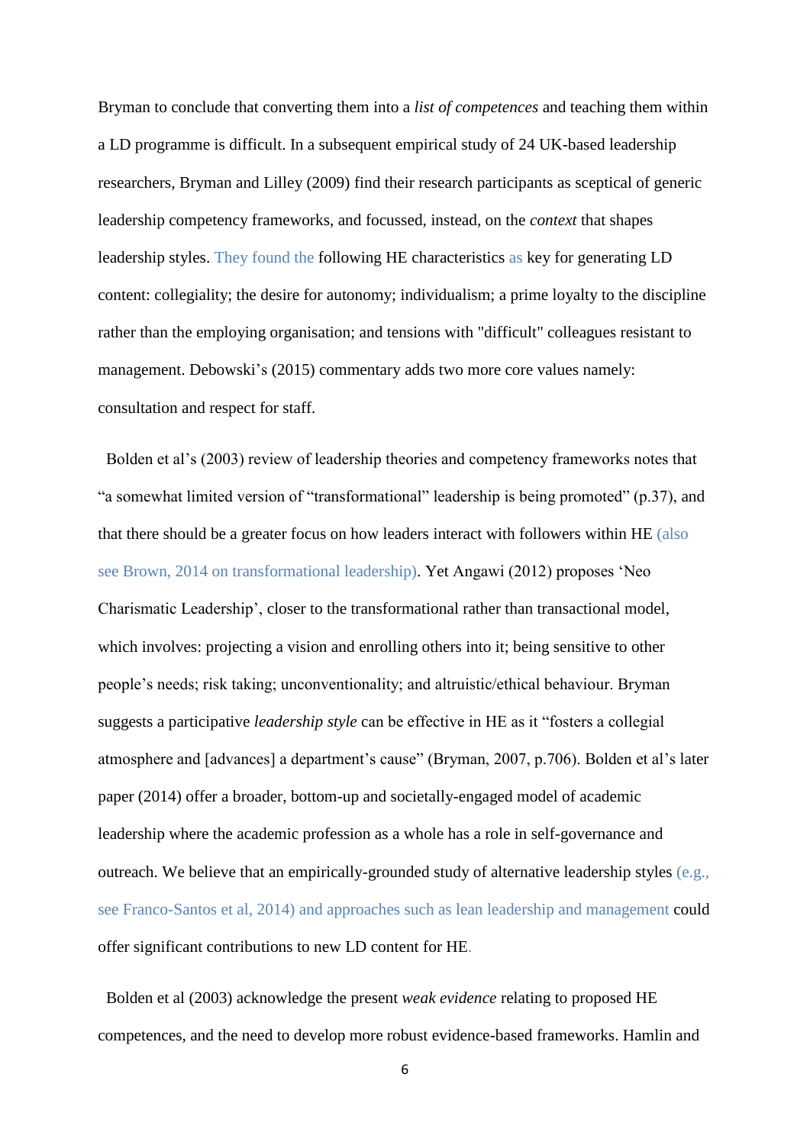Bryman to conclude that converting them into a *list of competences* and teaching them within a LD programme is difficult. In a subsequent empirical study of 24 UK-based leadership researchers, Bryman and Lilley (2009) find their research participants as sceptical of generic leadership competency frameworks, and focussed, instead, on the *context* that shapes leadership styles. They found the following HE characteristics as key for generating LD content: collegiality; the desire for autonomy; individualism; a prime loyalty to the discipline rather than the employing organisation; and tensions with "difficult" colleagues resistant to management. Debowski's (2015) commentary adds two more core values namely: consultation and respect for staff.

 Bolden et al's (2003) review of leadership theories and competency frameworks notes that "a somewhat limited version of "transformational" leadership is being promoted" (p.37), and that there should be a greater focus on how leaders interact with followers within HE (also see Brown, 2014 on transformational leadership). Yet Angawi (2012) proposes 'Neo Charismatic Leadership', closer to the transformational rather than transactional model, which involves: projecting a vision and enrolling others into it; being sensitive to other people's needs; risk taking; unconventionality; and altruistic/ethical behaviour. Bryman suggests a participative *leadership style* can be effective in HE as it "fosters a collegial atmosphere and [advances] a department's cause" (Bryman, 2007, p.706). Bolden et al's later paper (2014) offer a broader, bottom-up and societally-engaged model of academic leadership where the academic profession as a whole has a role in self-governance and outreach. We believe that an empirically-grounded study of alternative leadership styles (e.g., see Franco-Santos et al, 2014) and approaches such as lean leadership and management could offer significant contributions to new LD content for HE.

 Bolden et al (2003) acknowledge the present *weak evidence* relating to proposed HE competences, and the need to develop more robust evidence-based frameworks. Hamlin and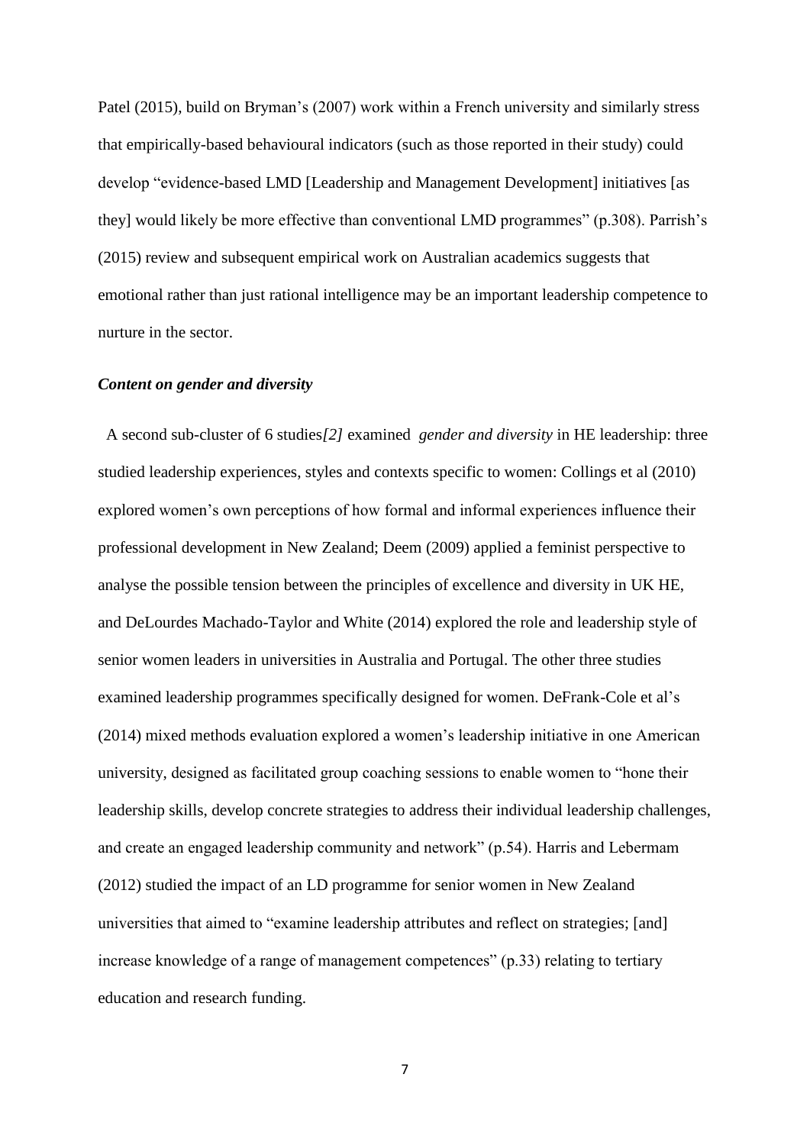Patel (2015), build on Bryman's (2007) work within a French university and similarly stress that empirically-based behavioural indicators (such as those reported in their study) could develop "evidence-based LMD [Leadership and Management Development] initiatives [as they] would likely be more effective than conventional LMD programmes" (p.308). Parrish's (2015) review and subsequent empirical work on Australian academics suggests that emotional rather than just rational intelligence may be an important leadership competence to nurture in the sector.

#### *Content on gender and diversity*

 A second sub-cluster of 6 studies*[2]* examined *gender and diversity* in HE leadership: three studied leadership experiences, styles and contexts specific to women: Collings et al (2010) explored women's own perceptions of how formal and informal experiences influence their professional development in New Zealand; Deem (2009) applied a feminist perspective to analyse the possible tension between the principles of excellence and diversity in UK HE, and DeLourdes Machado-Taylor and White (2014) explored the role and leadership style of senior women leaders in universities in Australia and Portugal. The other three studies examined leadership programmes specifically designed for women. DeFrank-Cole et al's (2014) mixed methods evaluation explored a women's leadership initiative in one American university, designed as facilitated group coaching sessions to enable women to "hone their leadership skills, develop concrete strategies to address their individual leadership challenges, and create an engaged leadership community and network" (p.54). Harris and Lebermam (2012) studied the impact of an LD programme for senior women in New Zealand universities that aimed to "examine leadership attributes and reflect on strategies; [and] increase knowledge of a range of management competences" (p.33) relating to tertiary education and research funding.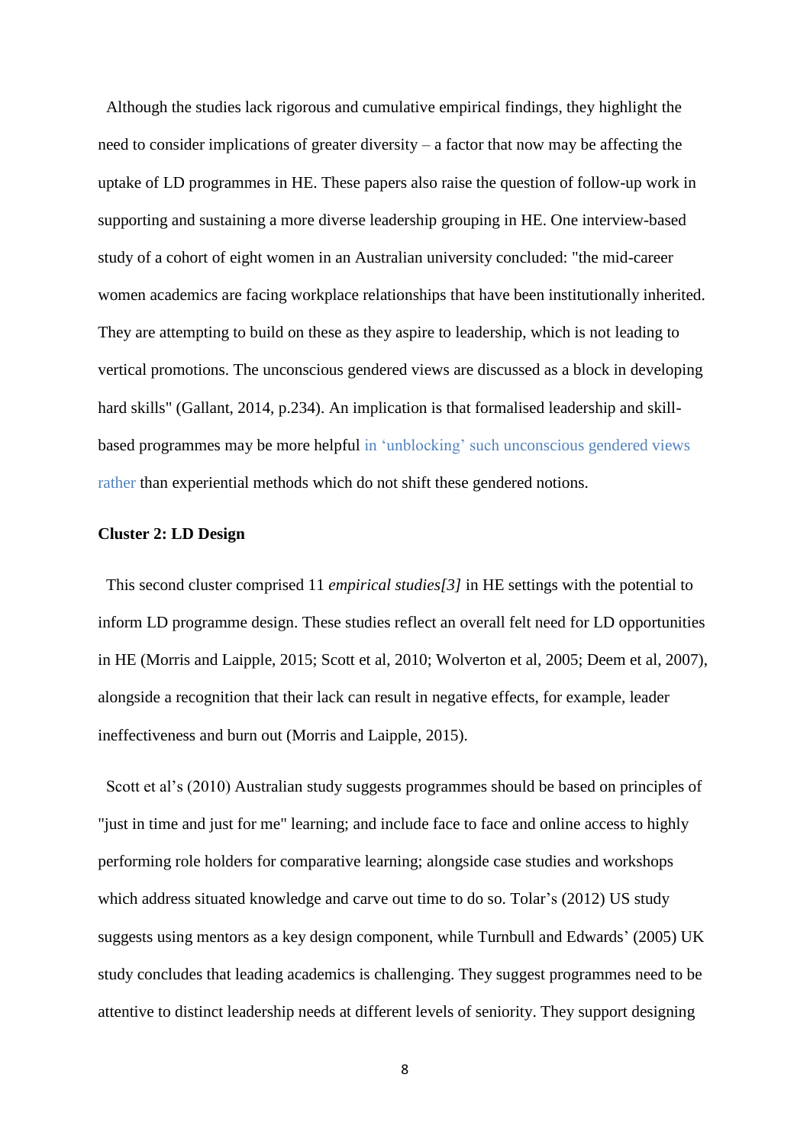Although the studies lack rigorous and cumulative empirical findings, they highlight the need to consider implications of greater diversity – a factor that now may be affecting the uptake of LD programmes in HE. These papers also raise the question of follow-up work in supporting and sustaining a more diverse leadership grouping in HE. One interview-based study of a cohort of eight women in an Australian university concluded: "the mid-career women academics are facing workplace relationships that have been institutionally inherited. They are attempting to build on these as they aspire to leadership, which is not leading to vertical promotions. The unconscious gendered views are discussed as a block in developing hard skills" (Gallant, 2014, p.234). An implication is that formalised leadership and skillbased programmes may be more helpful in 'unblocking' such unconscious gendered views rather than experiential methods which do not shift these gendered notions.

#### **Cluster 2: LD Design**

 This second cluster comprised 11 *empirical studies[3]* in HE settings with the potential to inform LD programme design. These studies reflect an overall felt need for LD opportunities in HE (Morris and Laipple, 2015; Scott et al, 2010; Wolverton et al, 2005; Deem et al, 2007), alongside a recognition that their lack can result in negative effects, for example, leader ineffectiveness and burn out (Morris and Laipple, 2015).

 Scott et al's (2010) Australian study suggests programmes should be based on principles of "just in time and just for me" learning; and include face to face and online access to highly performing role holders for comparative learning; alongside case studies and workshops which address situated knowledge and carve out time to do so. Tolar's (2012) US study suggests using mentors as a key design component, while Turnbull and Edwards' (2005) UK study concludes that leading academics is challenging. They suggest programmes need to be attentive to distinct leadership needs at different levels of seniority. They support designing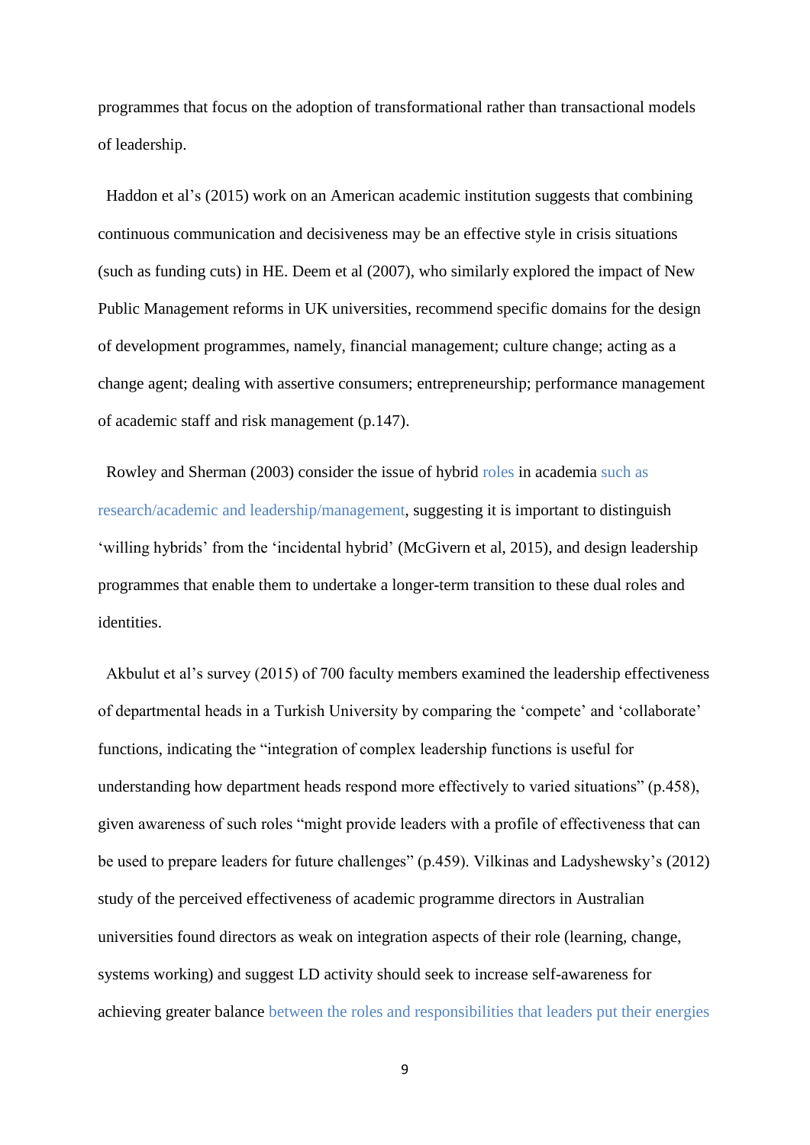programmes that focus on the adoption of transformational rather than transactional models of leadership.

 Haddon et al's (2015) work on an American academic institution suggests that combining continuous communication and decisiveness may be an effective style in crisis situations (such as funding cuts) in HE. Deem et al (2007), who similarly explored the impact of New Public Management reforms in UK universities, recommend specific domains for the design of development programmes, namely, financial management; culture change; acting as a change agent; dealing with assertive consumers; entrepreneurship; performance management of academic staff and risk management (p.147).

 Rowley and Sherman (2003) consider the issue of hybrid roles in academia such as research/academic and leadership/management, suggesting it is important to distinguish 'willing hybrids' from the 'incidental hybrid' (McGivern et al, 2015), and design leadership programmes that enable them to undertake a longer-term transition to these dual roles and identities.

 Akbulut et al's survey (2015) of 700 faculty members examined the leadership effectiveness of departmental heads in a Turkish University by comparing the 'compete' and 'collaborate' functions, indicating the "integration of complex leadership functions is useful for understanding how department heads respond more effectively to varied situations" (p.458), given awareness of such roles "might provide leaders with a profile of effectiveness that can be used to prepare leaders for future challenges" (p.459). Vilkinas and Ladyshewsky's (2012) study of the perceived effectiveness of academic programme directors in Australian universities found directors as weak on integration aspects of their role (learning, change, systems working) and suggest LD activity should seek to increase self-awareness for achieving greater balance between the roles and responsibilities that leaders put their energies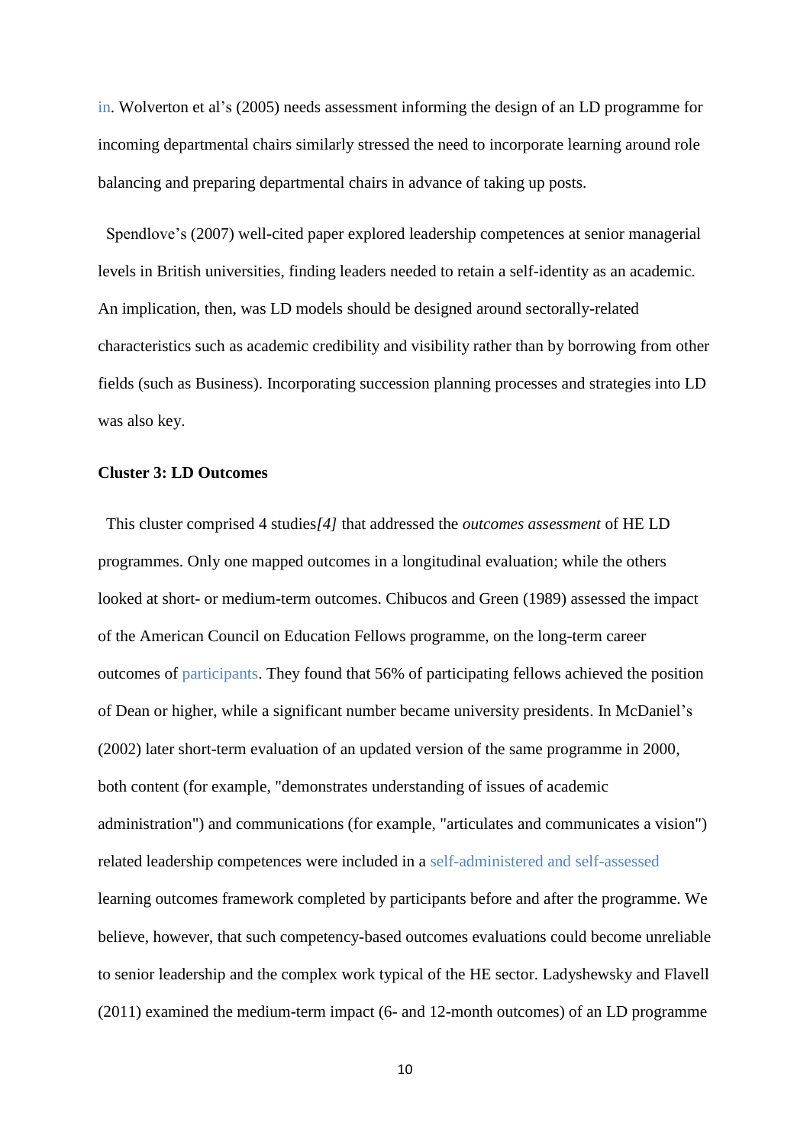in. Wolverton et al's (2005) needs assessment informing the design of an LD programme for incoming departmental chairs similarly stressed the need to incorporate learning around role balancing and preparing departmental chairs in advance of taking up posts.

 Spendlove's (2007) well-cited paper explored leadership competences at senior managerial levels in British universities, finding leaders needed to retain a self-identity as an academic. An implication, then, was LD models should be designed around sectorally-related characteristics such as academic credibility and visibility rather than by borrowing from other fields (such as Business). Incorporating succession planning processes and strategies into LD was also key.

# **Cluster 3: LD Outcomes**

 This cluster comprised 4 studies*[4]* that addressed the *outcomes assessment* of HE LD programmes. Only one mapped outcomes in a longitudinal evaluation; while the others looked at short- or medium-term outcomes. Chibucos and Green (1989) assessed the impact of the American Council on Education Fellows programme, on the long-term career outcomes of participants. They found that 56% of participating fellows achieved the position of Dean or higher, while a significant number became university presidents. In McDaniel's (2002) later short-term evaluation of an updated version of the same programme in 2000, both content (for example, "demonstrates understanding of issues of academic administration") and communications (for example, "articulates and communicates a vision") related leadership competences were included in a self-administered and self-assessed learning outcomes framework completed by participants before and after the programme. We believe, however, that such competency-based outcomes evaluations could become unreliable to senior leadership and the complex work typical of the HE sector. Ladyshewsky and Flavell (2011) examined the medium-term impact (6- and 12-month outcomes) of an LD programme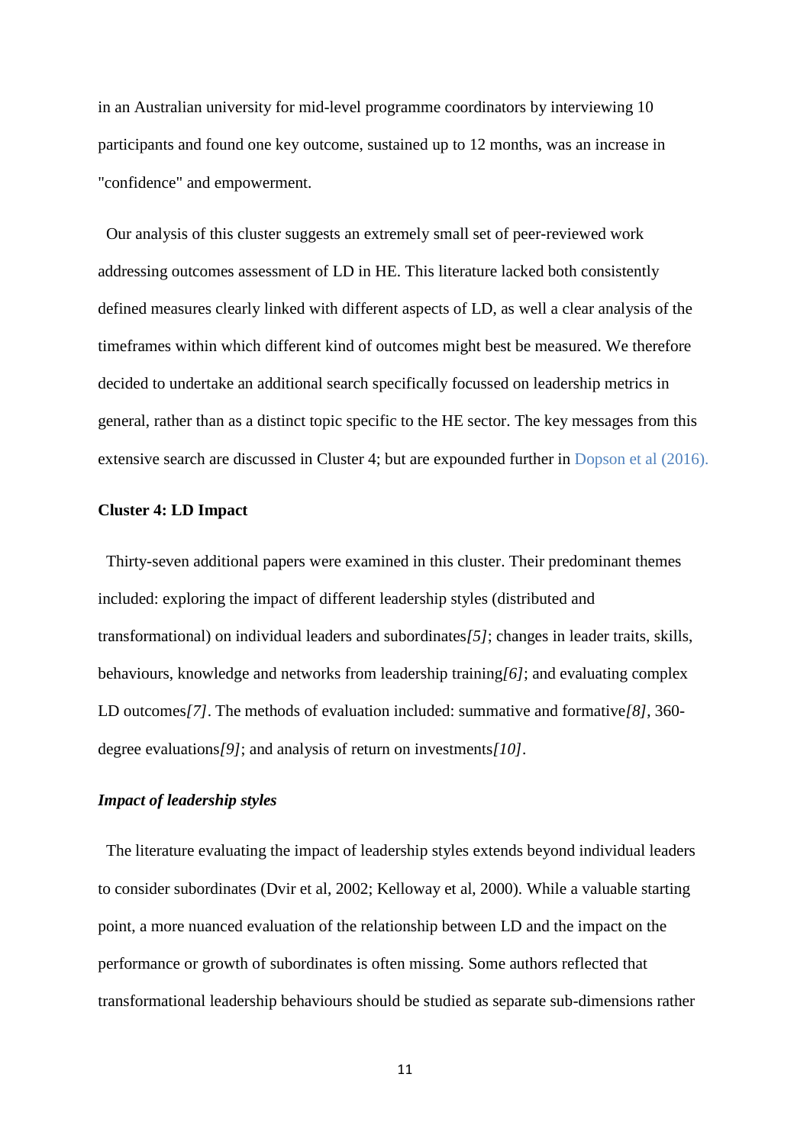in an Australian university for mid-level programme coordinators by interviewing 10 participants and found one key outcome, sustained up to 12 months, was an increase in "confidence" and empowerment.

 Our analysis of this cluster suggests an extremely small set of peer-reviewed work addressing outcomes assessment of LD in HE. This literature lacked both consistently defined measures clearly linked with different aspects of LD, as well a clear analysis of the timeframes within which different kind of outcomes might best be measured. We therefore decided to undertake an additional search specifically focussed on leadership metrics in general, rather than as a distinct topic specific to the HE sector. The key messages from this extensive search are discussed in Cluster 4; but are expounded further in Dopson et al (2016).

#### **Cluster 4: LD Impact**

 Thirty-seven additional papers were examined in this cluster. Their predominant themes included: exploring the impact of different leadership styles (distributed and transformational) on individual leaders and subordinates*[5]*; changes in leader traits, skills, behaviours, knowledge and networks from leadership training*[6]*; and evaluating complex LD outcomes*[7]*. The methods of evaluation included: summative and formative*[8]*, 360 degree evaluations*[9]*; and analysis of return on investments*[10]*.

## *Impact of leadership styles*

 The literature evaluating the impact of leadership styles extends beyond individual leaders to consider subordinates (Dvir et al, 2002; Kelloway et al, 2000). While a valuable starting point, a more nuanced evaluation of the relationship between LD and the impact on the performance or growth of subordinates is often missing. Some authors reflected that transformational leadership behaviours should be studied as separate sub-dimensions rather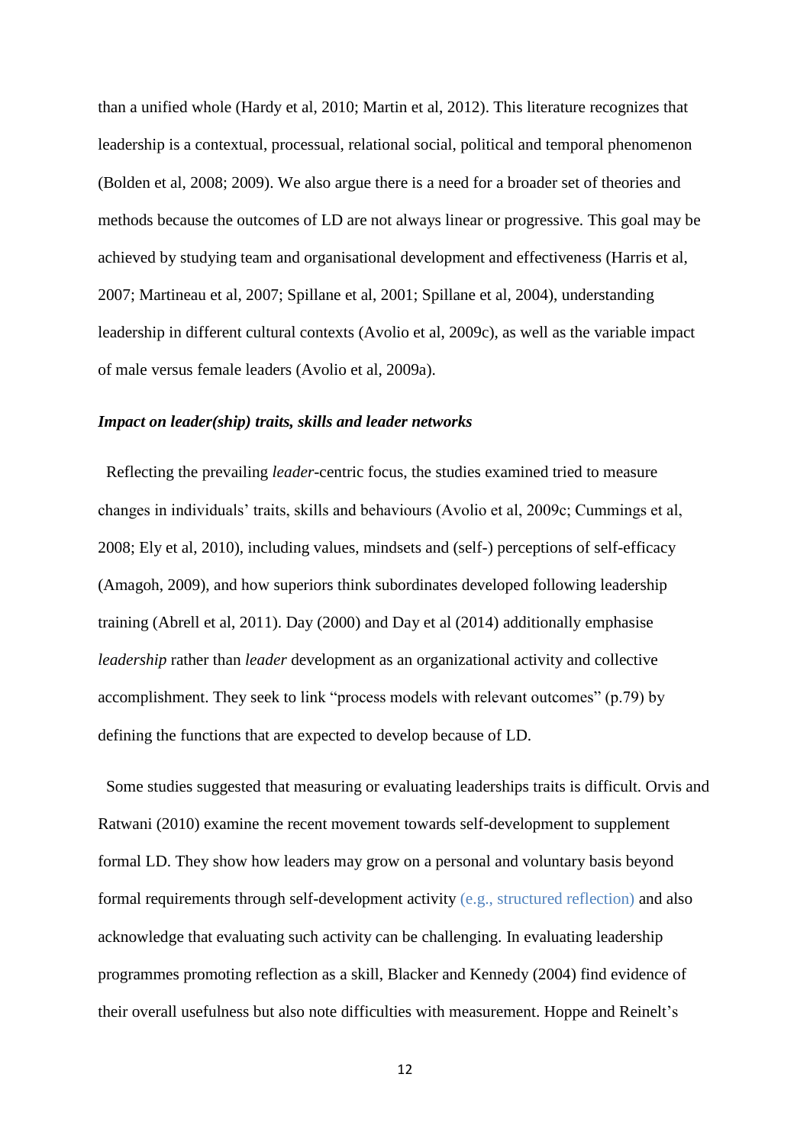than a unified whole (Hardy et al, 2010; Martin et al, 2012). This literature recognizes that leadership is a contextual, processual, relational social, political and temporal phenomenon (Bolden et al, 2008; 2009). We also argue there is a need for a broader set of theories and methods because the outcomes of LD are not always linear or progressive. This goal may be achieved by studying team and organisational development and effectiveness (Harris et al, 2007; Martineau et al, 2007; Spillane et al, 2001; Spillane et al, 2004), understanding leadership in different cultural contexts (Avolio et al, 2009c), as well as the variable impact of male versus female leaders (Avolio et al, 2009a).

#### *Impact on leader(ship) traits, skills and leader networks*

 Reflecting the prevailing *leader*-centric focus, the studies examined tried to measure changes in individuals' traits, skills and behaviours (Avolio et al, 2009c; Cummings et al, 2008; Ely et al, 2010), including values, mindsets and (self-) perceptions of self-efficacy (Amagoh, 2009), and how superiors think subordinates developed following leadership training (Abrell et al, 2011). Day (2000) and Day et al (2014) additionally emphasise *leadership* rather than *leader* development as an organizational activity and collective accomplishment. They seek to link "process models with relevant outcomes" (p.79) by defining the functions that are expected to develop because of LD.

 Some studies suggested that measuring or evaluating leaderships traits is difficult. Orvis and Ratwani (2010) examine the recent movement towards self-development to supplement formal LD. They show how leaders may grow on a personal and voluntary basis beyond formal requirements through self-development activity (e.g., structured reflection) and also acknowledge that evaluating such activity can be challenging. In evaluating leadership programmes promoting reflection as a skill, Blacker and Kennedy (2004) find evidence of their overall usefulness but also note difficulties with measurement. Hoppe and Reinelt's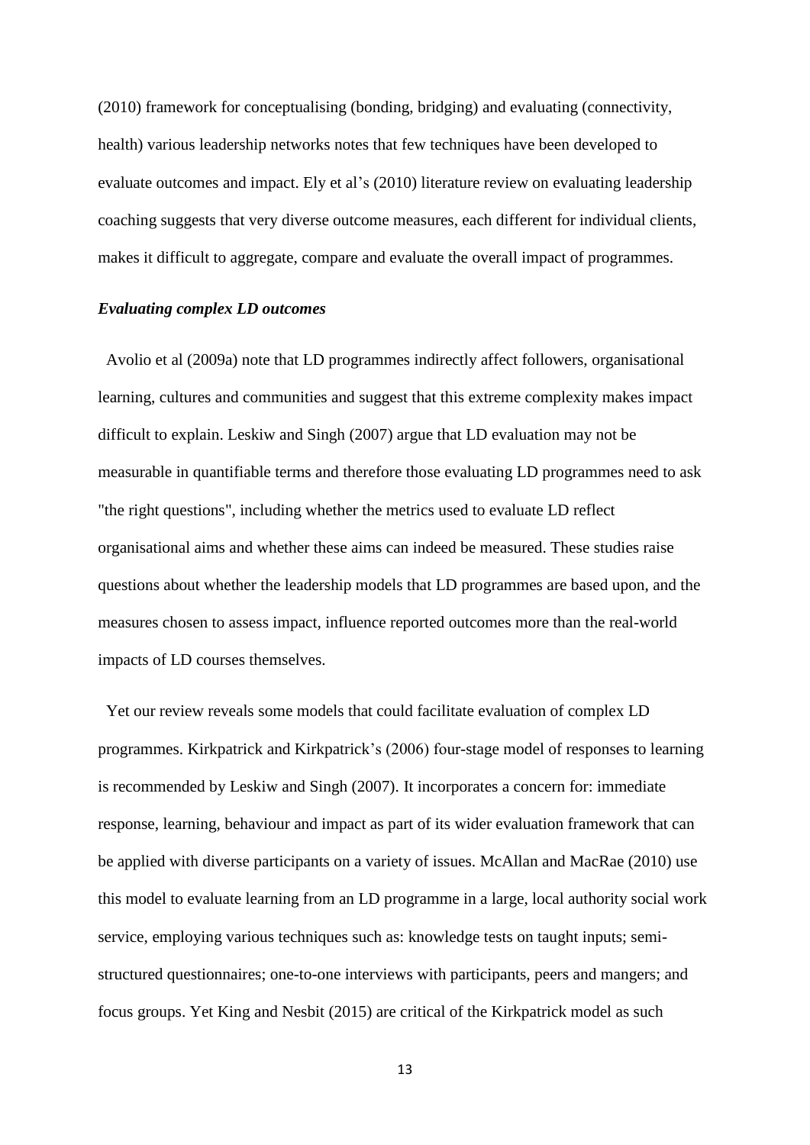(2010) framework for conceptualising (bonding, bridging) and evaluating (connectivity, health) various leadership networks notes that few techniques have been developed to evaluate outcomes and impact. Ely et al's (2010) literature review on evaluating leadership coaching suggests that very diverse outcome measures, each different for individual clients, makes it difficult to aggregate, compare and evaluate the overall impact of programmes.

#### *Evaluating complex LD outcomes*

 Avolio et al (2009a) note that LD programmes indirectly affect followers, organisational learning, cultures and communities and suggest that this extreme complexity makes impact difficult to explain. Leskiw and Singh (2007) argue that LD evaluation may not be measurable in quantifiable terms and therefore those evaluating LD programmes need to ask "the right questions", including whether the metrics used to evaluate LD reflect organisational aims and whether these aims can indeed be measured. These studies raise questions about whether the leadership models that LD programmes are based upon, and the measures chosen to assess impact, influence reported outcomes more than the real-world impacts of LD courses themselves.

 Yet our review reveals some models that could facilitate evaluation of complex LD programmes. Kirkpatrick and Kirkpatrick's (2006) four-stage model of responses to learning is recommended by Leskiw and Singh (2007). It incorporates a concern for: immediate response, learning, behaviour and impact as part of its wider evaluation framework that can be applied with diverse participants on a variety of issues. McAllan and MacRae (2010) use this model to evaluate learning from an LD programme in a large, local authority social work service, employing various techniques such as: knowledge tests on taught inputs; semistructured questionnaires; one-to-one interviews with participants, peers and mangers; and focus groups. Yet King and Nesbit (2015) are critical of the Kirkpatrick model as such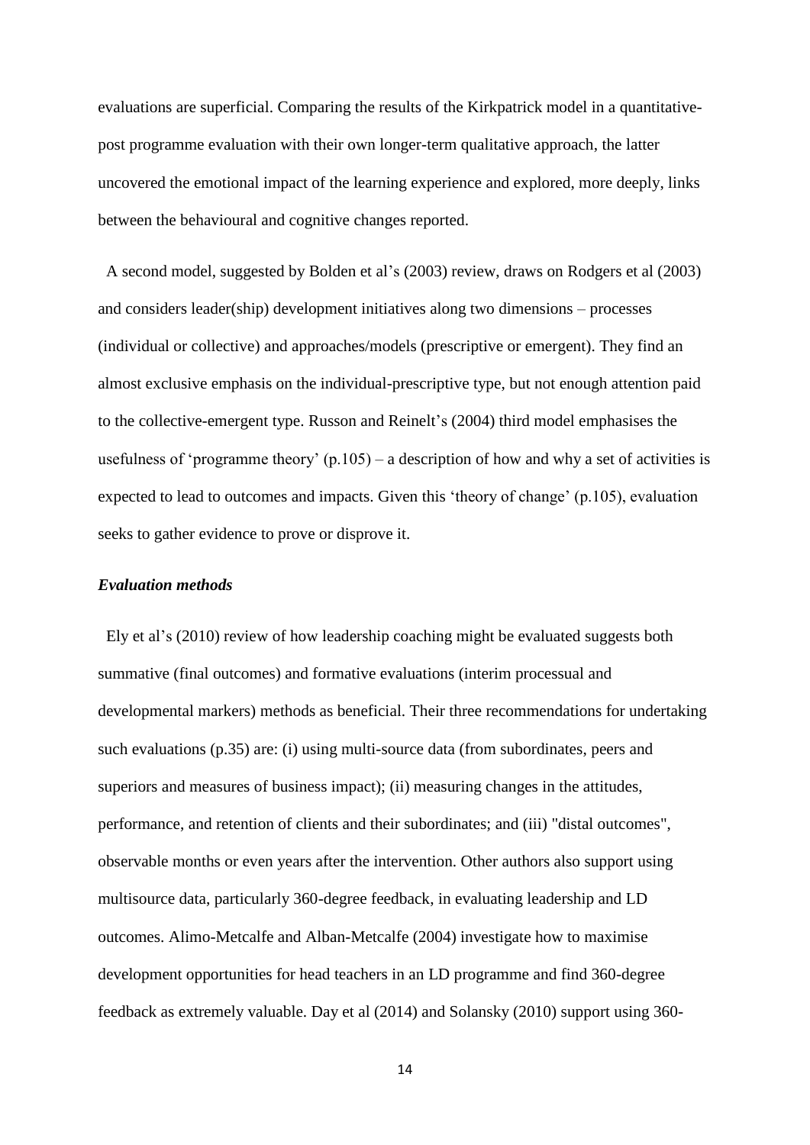evaluations are superficial. Comparing the results of the Kirkpatrick model in a quantitativepost programme evaluation with their own longer-term qualitative approach, the latter uncovered the emotional impact of the learning experience and explored, more deeply, links between the behavioural and cognitive changes reported.

 A second model, suggested by Bolden et al's (2003) review, draws on Rodgers et al (2003) and considers leader(ship) development initiatives along two dimensions – processes (individual or collective) and approaches/models (prescriptive or emergent). They find an almost exclusive emphasis on the individual-prescriptive type, but not enough attention paid to the collective-emergent type. Russon and Reinelt's (2004) third model emphasises the usefulness of 'programme theory'  $(p.105)$  – a description of how and why a set of activities is expected to lead to outcomes and impacts. Given this 'theory of change' (p.105), evaluation seeks to gather evidence to prove or disprove it.

#### *Evaluation methods*

 Ely et al's (2010) review of how leadership coaching might be evaluated suggests both summative (final outcomes) and formative evaluations (interim processual and developmental markers) methods as beneficial. Their three recommendations for undertaking such evaluations (p.35) are: (i) using multi-source data (from subordinates, peers and superiors and measures of business impact); (ii) measuring changes in the attitudes, performance, and retention of clients and their subordinates; and (iii) "distal outcomes", observable months or even years after the intervention. Other authors also support using multisource data, particularly 360-degree feedback, in evaluating leadership and LD outcomes. Alimo-Metcalfe and Alban-Metcalfe (2004) investigate how to maximise development opportunities for head teachers in an LD programme and find 360-degree feedback as extremely valuable. Day et al (2014) and Solansky (2010) support using 360-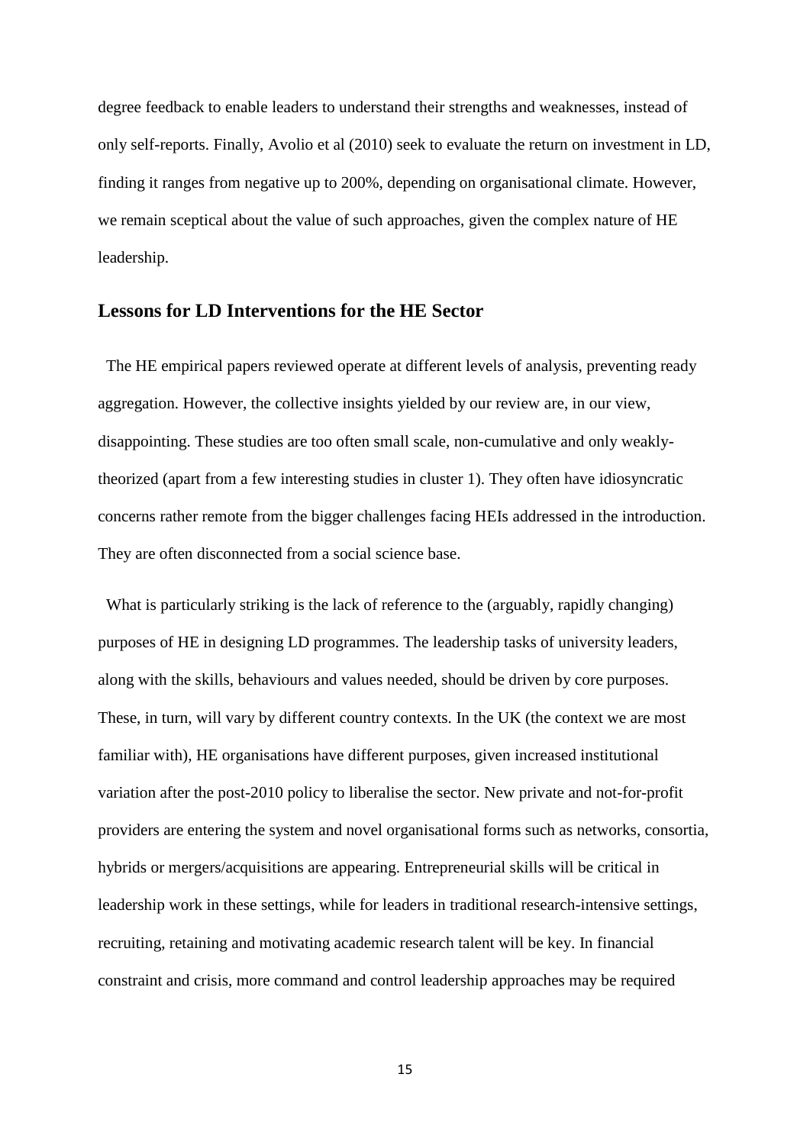degree feedback to enable leaders to understand their strengths and weaknesses, instead of only self-reports. Finally, Avolio et al (2010) seek to evaluate the return on investment in LD, finding it ranges from negative up to 200%, depending on organisational climate. However, we remain sceptical about the value of such approaches, given the complex nature of HE leadership.

# **Lessons for LD Interventions for the HE Sector**

 The HE empirical papers reviewed operate at different levels of analysis, preventing ready aggregation. However, the collective insights yielded by our review are, in our view, disappointing. These studies are too often small scale, non-cumulative and only weaklytheorized (apart from a few interesting studies in cluster 1). They often have idiosyncratic concerns rather remote from the bigger challenges facing HEIs addressed in the introduction. They are often disconnected from a social science base.

 What is particularly striking is the lack of reference to the (arguably, rapidly changing) purposes of HE in designing LD programmes. The leadership tasks of university leaders, along with the skills, behaviours and values needed, should be driven by core purposes. These, in turn, will vary by different country contexts. In the UK (the context we are most familiar with), HE organisations have different purposes, given increased institutional variation after the post-2010 policy to liberalise the sector. New private and not-for-profit providers are entering the system and novel organisational forms such as networks, consortia, hybrids or mergers/acquisitions are appearing. Entrepreneurial skills will be critical in leadership work in these settings, while for leaders in traditional research-intensive settings, recruiting, retaining and motivating academic research talent will be key. In financial constraint and crisis, more command and control leadership approaches may be required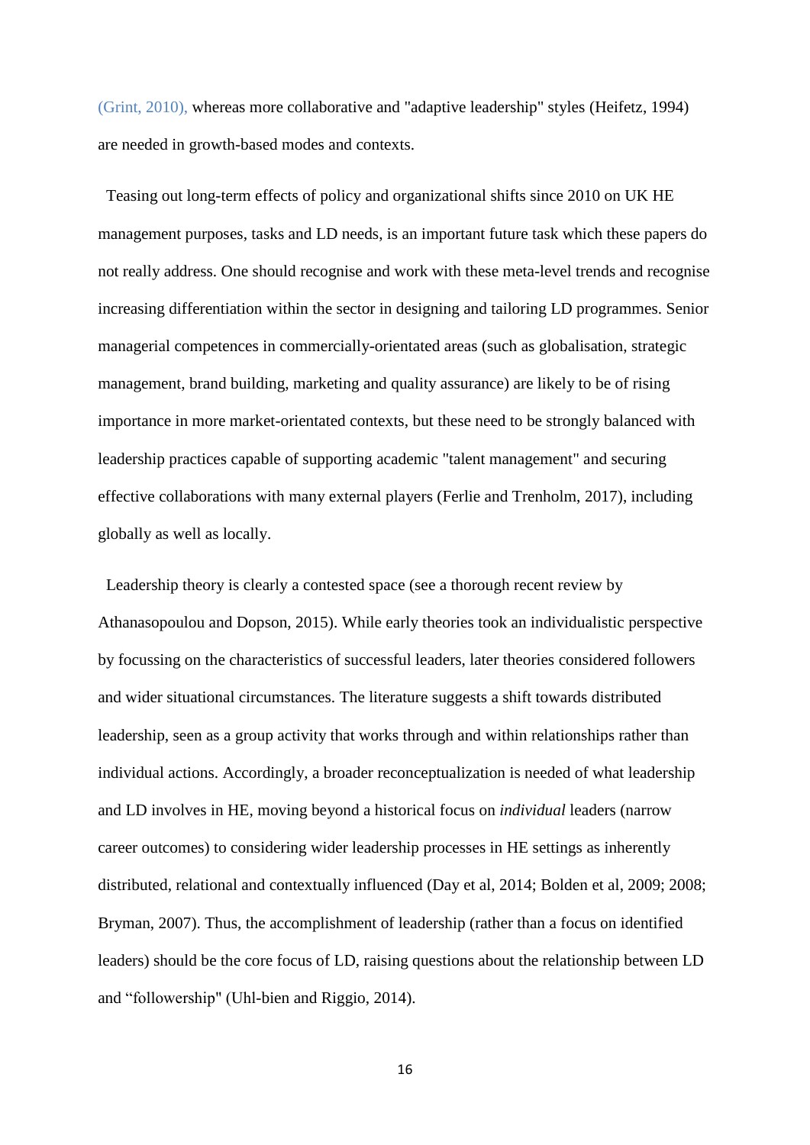(Grint, 2010), whereas more collaborative and "adaptive leadership" styles (Heifetz, 1994) are needed in growth-based modes and contexts.

 Teasing out long-term effects of policy and organizational shifts since 2010 on UK HE management purposes, tasks and LD needs, is an important future task which these papers do not really address. One should recognise and work with these meta-level trends and recognise increasing differentiation within the sector in designing and tailoring LD programmes. Senior managerial competences in commercially-orientated areas (such as globalisation, strategic management, brand building, marketing and quality assurance) are likely to be of rising importance in more market-orientated contexts, but these need to be strongly balanced with leadership practices capable of supporting academic "talent management" and securing effective collaborations with many external players (Ferlie and Trenholm, 2017), including globally as well as locally.

 Leadership theory is clearly a contested space (see a thorough recent review by Athanasopoulou and Dopson, 2015). While early theories took an individualistic perspective by focussing on the characteristics of successful leaders, later theories considered followers and wider situational circumstances. The literature suggests a shift towards distributed leadership, seen as a group activity that works through and within relationships rather than individual actions. Accordingly, a broader reconceptualization is needed of what leadership and LD involves in HE, moving beyond a historical focus on *individual* leaders (narrow career outcomes) to considering wider leadership processes in HE settings as inherently distributed, relational and contextually influenced (Day et al, 2014; Bolden et al, 2009; 2008; Bryman, 2007). Thus, the accomplishment of leadership (rather than a focus on identified leaders) should be the core focus of LD, raising questions about the relationship between LD and "followership" (Uhl-bien and Riggio, 2014).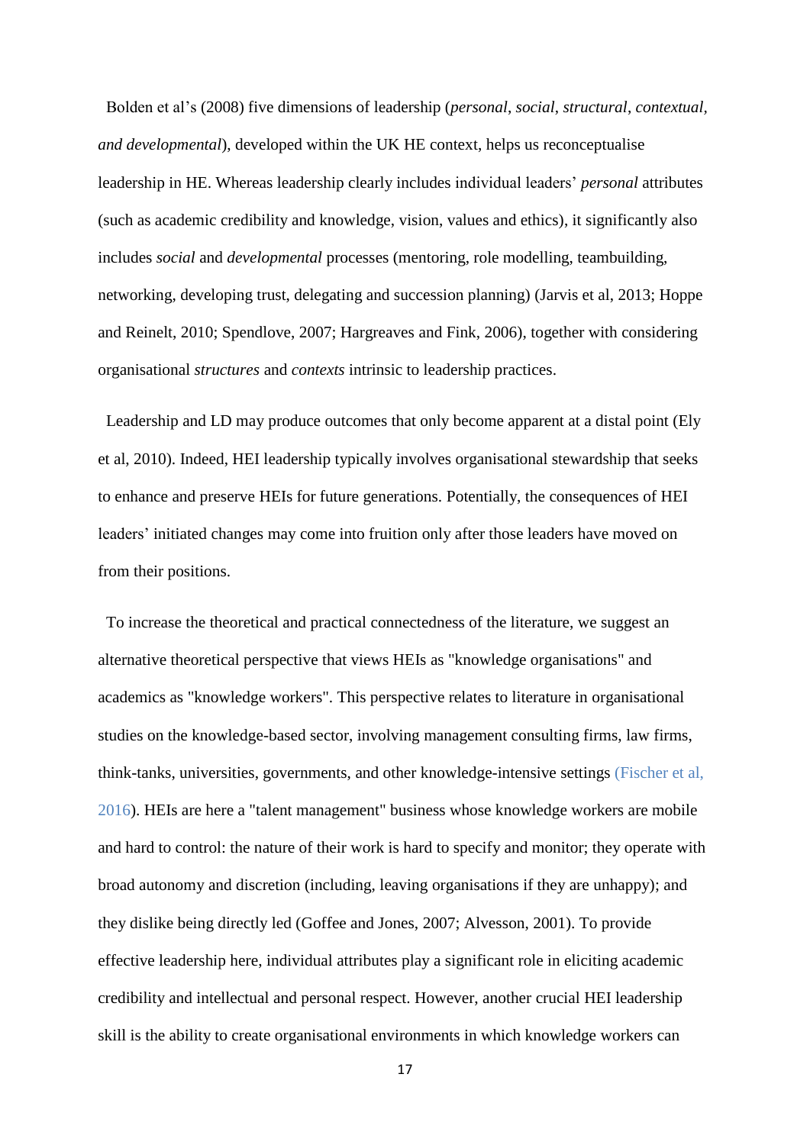Bolden et al's (2008) five dimensions of leadership (*personal*, *social*, *structural*, *contextual, and developmental*), developed within the UK HE context, helps us reconceptualise leadership in HE. Whereas leadership clearly includes individual leaders' *personal* attributes (such as academic credibility and knowledge, vision, values and ethics), it significantly also includes *social* and *developmental* processes (mentoring, role modelling, teambuilding, networking, developing trust, delegating and succession planning) (Jarvis et al, 2013; Hoppe and Reinelt, 2010; Spendlove, 2007; Hargreaves and Fink, 2006), together with considering organisational *structures* and *contexts* intrinsic to leadership practices.

 Leadership and LD may produce outcomes that only become apparent at a distal point (Ely et al, 2010). Indeed, HEI leadership typically involves organisational stewardship that seeks to enhance and preserve HEIs for future generations. Potentially, the consequences of HEI leaders' initiated changes may come into fruition only after those leaders have moved on from their positions.

 To increase the theoretical and practical connectedness of the literature, we suggest an alternative theoretical perspective that views HEIs as "knowledge organisations" and academics as "knowledge workers". This perspective relates to literature in organisational studies on the knowledge-based sector, involving management consulting firms, law firms, think-tanks, universities, governments, and other knowledge-intensive settings (Fischer et al, 2016). HEIs are here a "talent management" business whose knowledge workers are mobile and hard to control: the nature of their work is hard to specify and monitor; they operate with broad autonomy and discretion (including, leaving organisations if they are unhappy); and they dislike being directly led (Goffee and Jones, 2007; Alvesson, 2001). To provide effective leadership here, individual attributes play a significant role in eliciting academic credibility and intellectual and personal respect. However, another crucial HEI leadership skill is the ability to create organisational environments in which knowledge workers can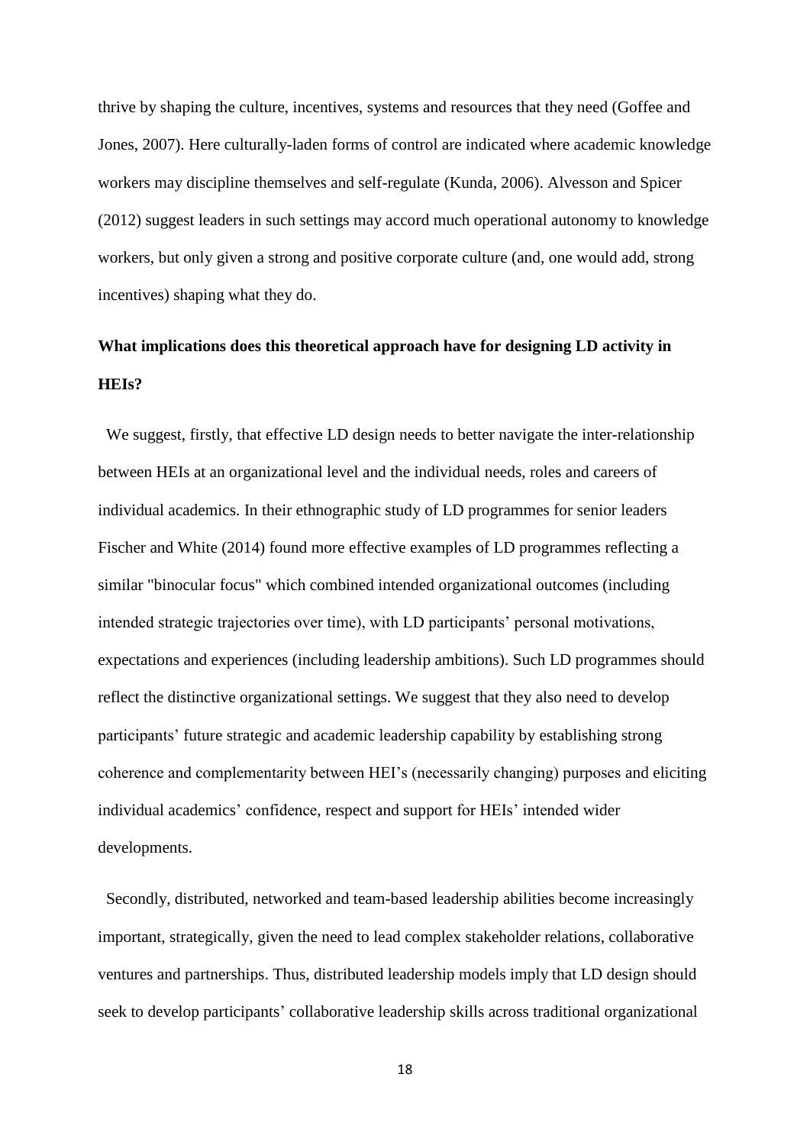thrive by shaping the culture, incentives, systems and resources that they need (Goffee and Jones, 2007). Here culturally-laden forms of control are indicated where academic knowledge workers may discipline themselves and self-regulate (Kunda, 2006). Alvesson and Spicer (2012) suggest leaders in such settings may accord much operational autonomy to knowledge workers, but only given a strong and positive corporate culture (and, one would add, strong incentives) shaping what they do.

# **What implications does this theoretical approach have for designing LD activity in HEIs?**

We suggest, firstly, that effective LD design needs to better navigate the inter-relationship between HEIs at an organizational level and the individual needs, roles and careers of individual academics. In their ethnographic study of LD programmes for senior leaders Fischer and White (2014) found more effective examples of LD programmes reflecting a similar "binocular focus" which combined intended organizational outcomes (including intended strategic trajectories over time), with LD participants' personal motivations, expectations and experiences (including leadership ambitions). Such LD programmes should reflect the distinctive organizational settings. We suggest that they also need to develop participants' future strategic and academic leadership capability by establishing strong coherence and complementarity between HEI's (necessarily changing) purposes and eliciting individual academics' confidence, respect and support for HEIs' intended wider developments.

 Secondly, distributed, networked and team-based leadership abilities become increasingly important, strategically, given the need to lead complex stakeholder relations, collaborative ventures and partnerships. Thus, distributed leadership models imply that LD design should seek to develop participants' collaborative leadership skills across traditional organizational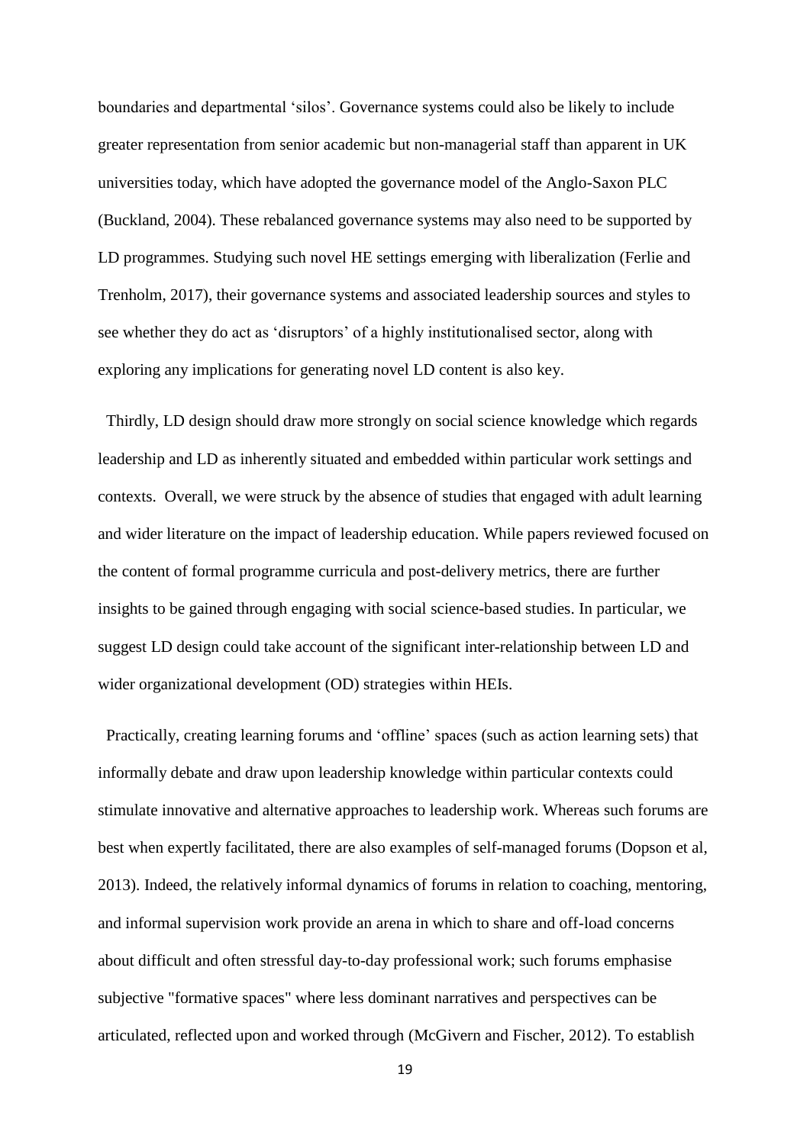boundaries and departmental 'silos'. Governance systems could also be likely to include greater representation from senior academic but non-managerial staff than apparent in UK universities today, which have adopted the governance model of the Anglo-Saxon PLC (Buckland, 2004). These rebalanced governance systems may also need to be supported by LD programmes. Studying such novel HE settings emerging with liberalization (Ferlie and Trenholm, 2017), their governance systems and associated leadership sources and styles to see whether they do act as 'disruptors' of a highly institutionalised sector, along with exploring any implications for generating novel LD content is also key.

 Thirdly, LD design should draw more strongly on social science knowledge which regards leadership and LD as inherently situated and embedded within particular work settings and contexts. Overall, we were struck by the absence of studies that engaged with adult learning and wider literature on the impact of leadership education. While papers reviewed focused on the content of formal programme curricula and post-delivery metrics, there are further insights to be gained through engaging with social science-based studies. In particular, we suggest LD design could take account of the significant inter-relationship between LD and wider organizational development (OD) strategies within HEIs.

 Practically, creating learning forums and 'offline' spaces (such as action learning sets) that informally debate and draw upon leadership knowledge within particular contexts could stimulate innovative and alternative approaches to leadership work. Whereas such forums are best when expertly facilitated, there are also examples of self-managed forums (Dopson et al, 2013). Indeed, the relatively informal dynamics of forums in relation to coaching, mentoring, and informal supervision work provide an arena in which to share and off-load concerns about difficult and often stressful day-to-day professional work; such forums emphasise subjective "formative spaces" where less dominant narratives and perspectives can be articulated, reflected upon and worked through (McGivern and Fischer, 2012). To establish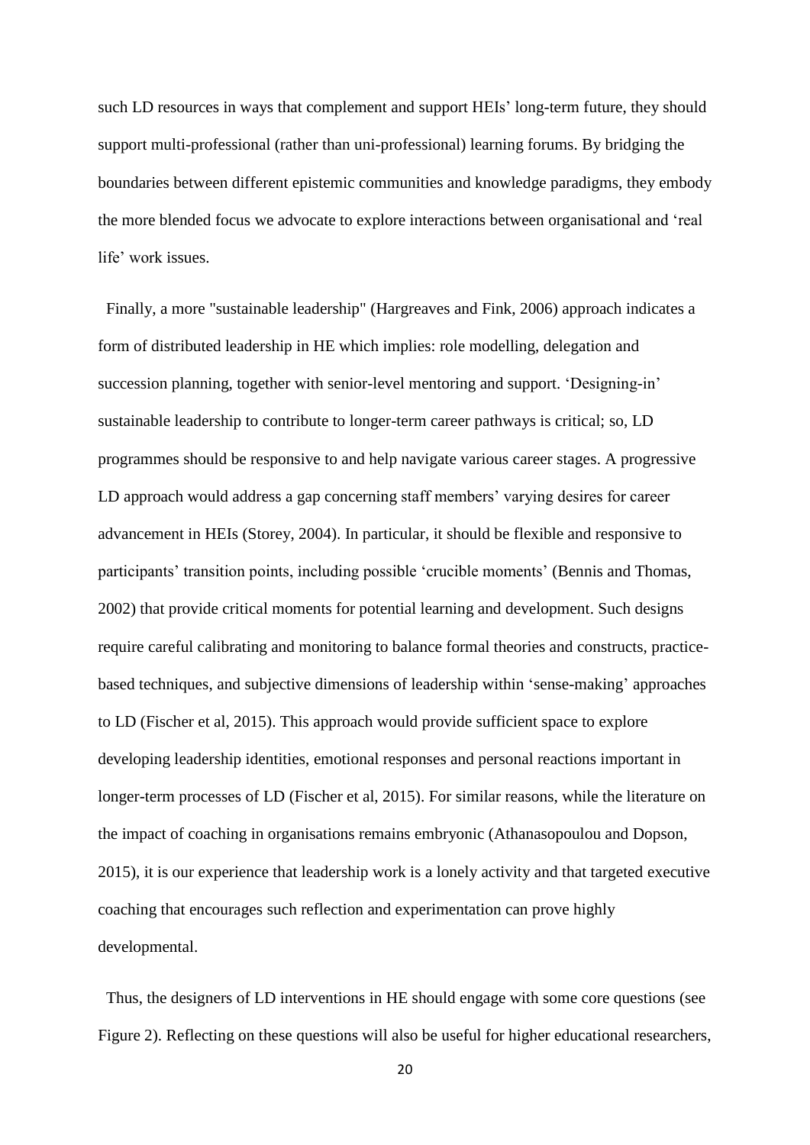such LD resources in ways that complement and support HEIs' long-term future, they should support multi-professional (rather than uni-professional) learning forums. By bridging the boundaries between different epistemic communities and knowledge paradigms, they embody the more blended focus we advocate to explore interactions between organisational and 'real life' work issues.

 Finally, a more "sustainable leadership" (Hargreaves and Fink, 2006) approach indicates a form of distributed leadership in HE which implies: role modelling, delegation and succession planning, together with senior-level mentoring and support. 'Designing-in' sustainable leadership to contribute to longer-term career pathways is critical; so, LD programmes should be responsive to and help navigate various career stages. A progressive LD approach would address a gap concerning staff members' varying desires for career advancement in HEIs (Storey, 2004). In particular, it should be flexible and responsive to participants' transition points, including possible 'crucible moments' (Bennis and Thomas, 2002) that provide critical moments for potential learning and development. Such designs require careful calibrating and monitoring to balance formal theories and constructs, practicebased techniques, and subjective dimensions of leadership within 'sense-making' approaches to LD (Fischer et al, 2015). This approach would provide sufficient space to explore developing leadership identities, emotional responses and personal reactions important in longer-term processes of LD (Fischer et al, 2015). For similar reasons, while the literature on the impact of coaching in organisations remains embryonic (Athanasopoulou and Dopson, 2015), it is our experience that leadership work is a lonely activity and that targeted executive coaching that encourages such reflection and experimentation can prove highly developmental.

 Thus, the designers of LD interventions in HE should engage with some core questions (see Figure 2). Reflecting on these questions will also be useful for higher educational researchers,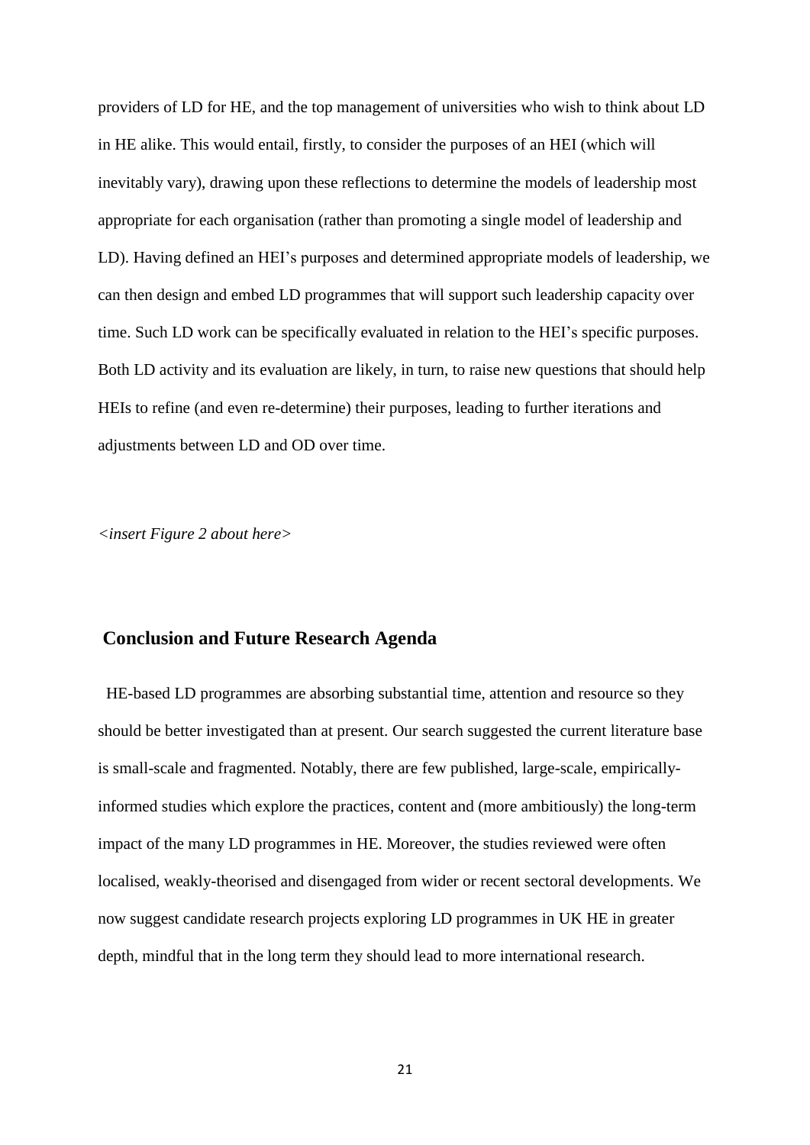providers of LD for HE, and the top management of universities who wish to think about LD in HE alike. This would entail, firstly, to consider the purposes of an HEI (which will inevitably vary), drawing upon these reflections to determine the models of leadership most appropriate for each organisation (rather than promoting a single model of leadership and LD). Having defined an HEI's purposes and determined appropriate models of leadership, we can then design and embed LD programmes that will support such leadership capacity over time. Such LD work can be specifically evaluated in relation to the HEI's specific purposes. Both LD activity and its evaluation are likely, in turn, to raise new questions that should help HEIs to refine (and even re-determine) their purposes, leading to further iterations and adjustments between LD and OD over time.

*<insert Figure 2 about here>*

# **Conclusion and Future Research Agenda**

 HE-based LD programmes are absorbing substantial time, attention and resource so they should be better investigated than at present. Our search suggested the current literature base is small-scale and fragmented. Notably, there are few published, large-scale, empiricallyinformed studies which explore the practices, content and (more ambitiously) the long-term impact of the many LD programmes in HE. Moreover, the studies reviewed were often localised, weakly-theorised and disengaged from wider or recent sectoral developments. We now suggest candidate research projects exploring LD programmes in UK HE in greater depth, mindful that in the long term they should lead to more international research.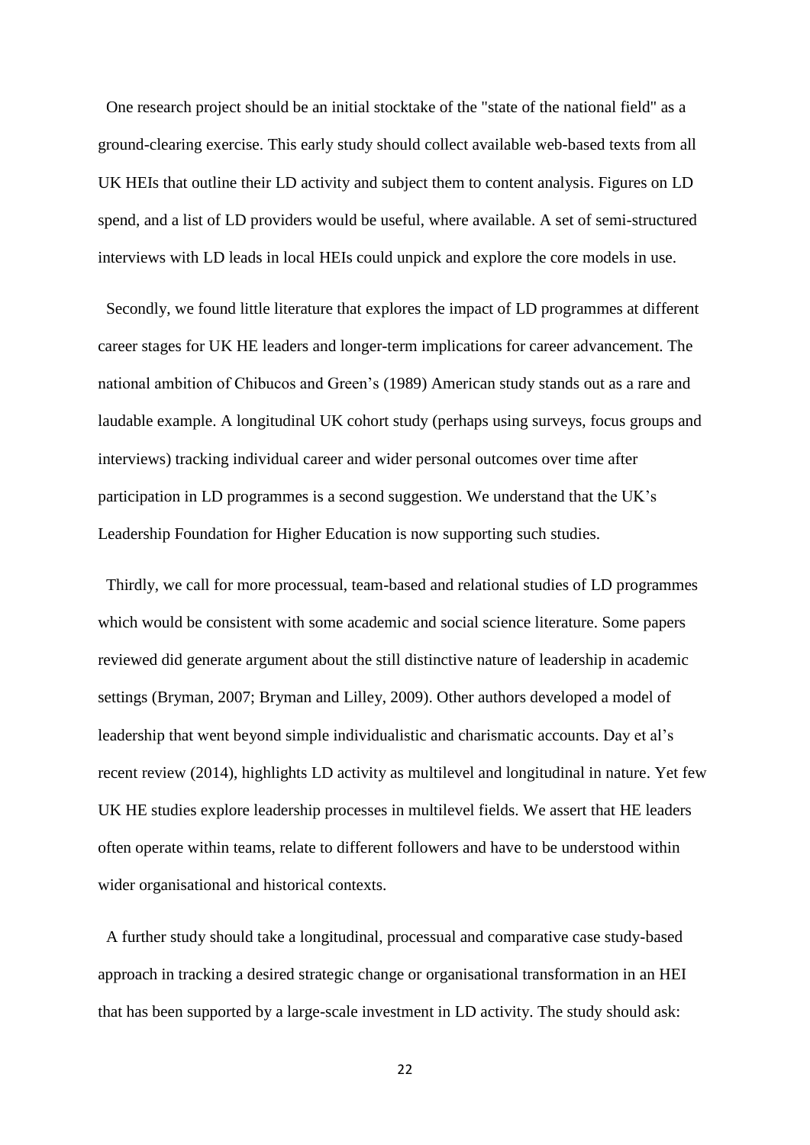One research project should be an initial stocktake of the "state of the national field" as a ground-clearing exercise. This early study should collect available web-based texts from all UK HEIs that outline their LD activity and subject them to content analysis. Figures on LD spend, and a list of LD providers would be useful, where available. A set of semi-structured interviews with LD leads in local HEIs could unpick and explore the core models in use.

 Secondly, we found little literature that explores the impact of LD programmes at different career stages for UK HE leaders and longer-term implications for career advancement. The national ambition of Chibucos and Green's (1989) American study stands out as a rare and laudable example. A longitudinal UK cohort study (perhaps using surveys, focus groups and interviews) tracking individual career and wider personal outcomes over time after participation in LD programmes is a second suggestion. We understand that the UK's Leadership Foundation for Higher Education is now supporting such studies.

 Thirdly, we call for more processual, team-based and relational studies of LD programmes which would be consistent with some academic and social science literature. Some papers reviewed did generate argument about the still distinctive nature of leadership in academic settings (Bryman, 2007; Bryman and Lilley, 2009). Other authors developed a model of leadership that went beyond simple individualistic and charismatic accounts. Day et al's recent review (2014), highlights LD activity as multilevel and longitudinal in nature. Yet few UK HE studies explore leadership processes in multilevel fields. We assert that HE leaders often operate within teams, relate to different followers and have to be understood within wider organisational and historical contexts.

 A further study should take a longitudinal, processual and comparative case study-based approach in tracking a desired strategic change or organisational transformation in an HEI that has been supported by a large-scale investment in LD activity. The study should ask: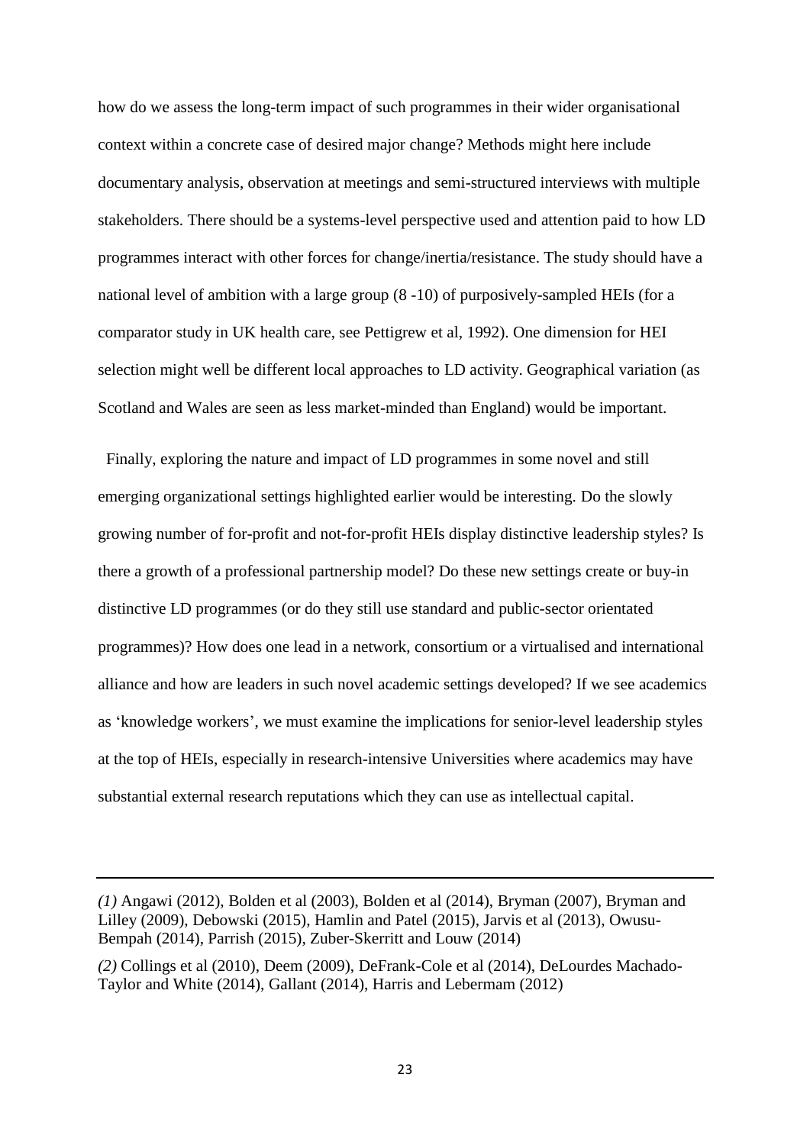how do we assess the long-term impact of such programmes in their wider organisational context within a concrete case of desired major change? Methods might here include documentary analysis, observation at meetings and semi-structured interviews with multiple stakeholders. There should be a systems-level perspective used and attention paid to how LD programmes interact with other forces for change/inertia/resistance. The study should have a national level of ambition with a large group (8 -10) of purposively-sampled HEIs (for a comparator study in UK health care, see Pettigrew et al, 1992). One dimension for HEI selection might well be different local approaches to LD activity. Geographical variation (as Scotland and Wales are seen as less market-minded than England) would be important.

 Finally, exploring the nature and impact of LD programmes in some novel and still emerging organizational settings highlighted earlier would be interesting. Do the slowly growing number of for-profit and not-for-profit HEIs display distinctive leadership styles? Is there a growth of a professional partnership model? Do these new settings create or buy-in distinctive LD programmes (or do they still use standard and public-sector orientated programmes)? How does one lead in a network, consortium or a virtualised and international alliance and how are leaders in such novel academic settings developed? If we see academics as 'knowledge workers', we must examine the implications for senior-level leadership styles at the top of HEIs, especially in research-intensive Universities where academics may have substantial external research reputations which they can use as intellectual capital.

*<sup>(1)</sup>* Angawi (2012), Bolden et al (2003), Bolden et al (2014), Bryman (2007), Bryman and Lilley (2009), Debowski (2015), Hamlin and Patel (2015), Jarvis et al (2013), Owusu-Bempah (2014), Parrish (2015), Zuber-Skerritt and Louw (2014)

*<sup>(2)</sup>* Collings et al (2010), Deem (2009), DeFrank-Cole et al (2014), DeLourdes Machado-Taylor and White (2014), Gallant (2014), Harris and Lebermam (2012)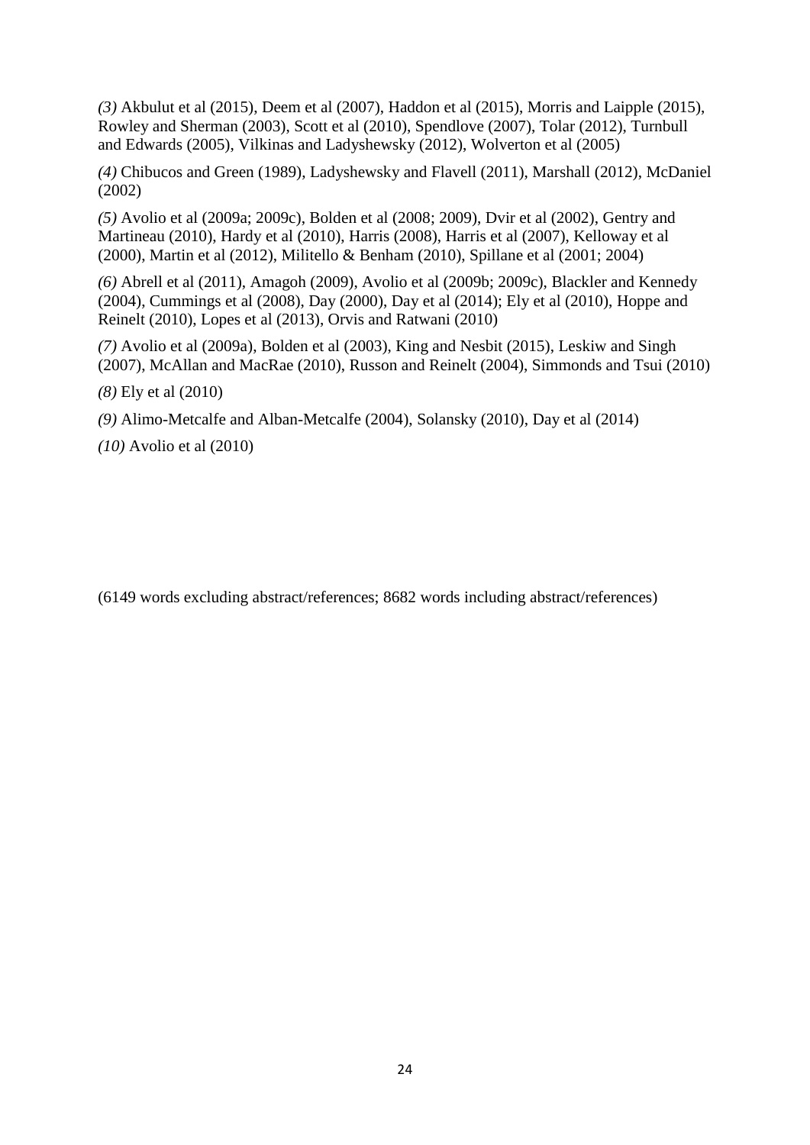*(3)* Akbulut et al (2015), Deem et al (2007), Haddon et al (2015), Morris and Laipple (2015), Rowley and Sherman (2003), Scott et al (2010), Spendlove (2007), Tolar (2012), Turnbull and Edwards (2005), Vilkinas and Ladyshewsky (2012), Wolverton et al (2005)

*(4)* Chibucos and Green (1989), Ladyshewsky and Flavell (2011), Marshall (2012), McDaniel (2002)

*(5)* Avolio et al (2009a; 2009c), Bolden et al (2008; 2009), Dvir et al (2002), Gentry and Martineau (2010), Hardy et al (2010), Harris (2008), Harris et al (2007), Kelloway et al (2000), Martin et al (2012), Militello & Benham (2010), Spillane et al (2001; 2004)

*(6)* Abrell et al (2011), Amagoh (2009), Avolio et al (2009b; 2009c), Blackler and Kennedy (2004), Cummings et al (2008), Day (2000), Day et al (2014); Ely et al (2010), Hoppe and Reinelt (2010), Lopes et al (2013), Orvis and Ratwani (2010)

*(7)* Avolio et al (2009a), Bolden et al (2003), King and Nesbit (2015), Leskiw and Singh (2007), McAllan and MacRae (2010), Russon and Reinelt (2004), Simmonds and Tsui (2010)

*(8)* Ely et al (2010)

*(9)* Alimo-Metcalfe and Alban-Metcalfe (2004), Solansky (2010), Day et al (2014)

*(10)* Avolio et al (2010)

(6149 words excluding abstract/references; 8682 words including abstract/references)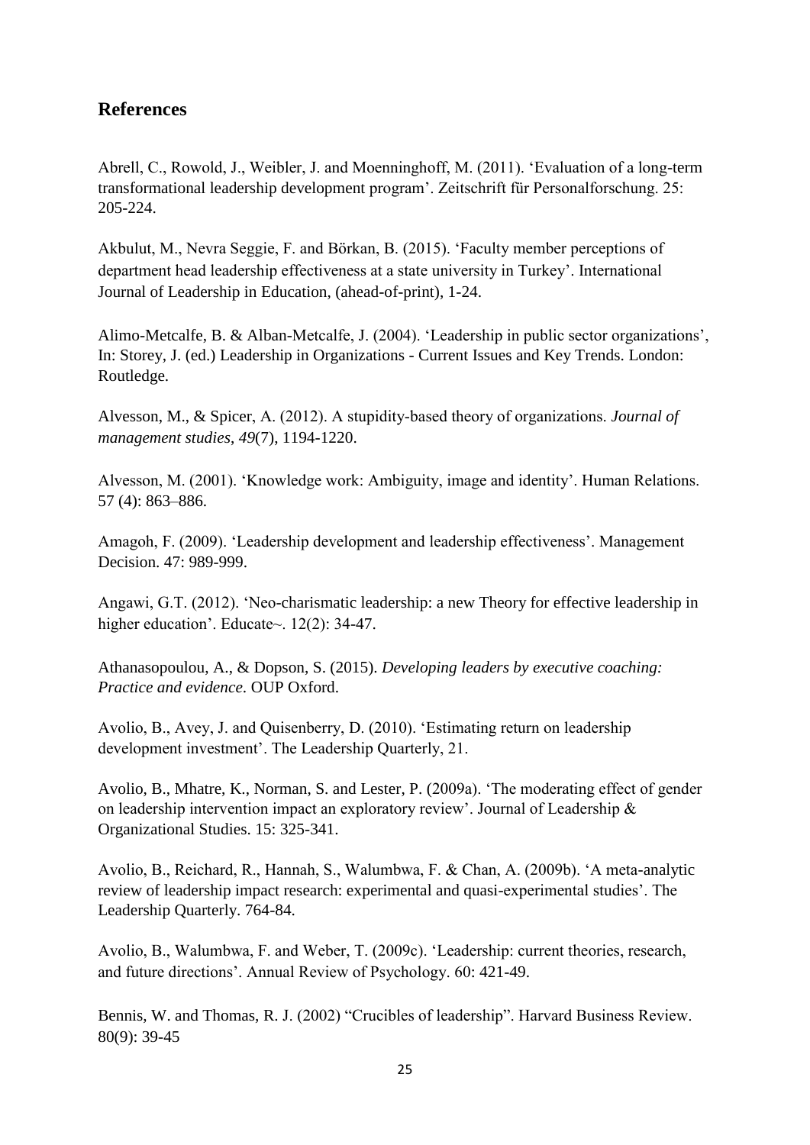# **References**

Abrell, C., Rowold, J., Weibler, J. and Moenninghoff, M. (2011). 'Evaluation of a long-term transformational leadership development program'. Zeitschrift für Personalforschung. 25: 205-224.

Akbulut, M., Nevra Seggie, F. and Börkan, B. (2015). 'Faculty member perceptions of department head leadership effectiveness at a state university in Turkey'. International Journal of Leadership in Education, (ahead-of-print), 1-24.

Alimo-Metcalfe, B. & Alban-Metcalfe, J. (2004). 'Leadership in public sector organizations', In: Storey, J. (ed.) Leadership in Organizations - Current Issues and Key Trends. London: Routledge.

Alvesson, M., & Spicer, A. (2012). A stupidity‐based theory of organizations. *Journal of management studies*, *49*(7), 1194-1220.

Alvesson, M. (2001). 'Knowledge work: Ambiguity, image and identity'. Human Relations. 57 (4): 863–886.

Amagoh, F. (2009). 'Leadership development and leadership effectiveness'. Management Decision. 47: 989-999.

Angawi, G.T. (2012). 'Neo-charismatic leadership: a new Theory for effective leadership in higher education'. Educate~. 12(2): 34-47.

Athanasopoulou, A., & Dopson, S. (2015). *Developing leaders by executive coaching: Practice and evidence*. OUP Oxford.

Avolio, B., Avey, J. and Quisenberry, D. (2010). 'Estimating return on leadership development investment'. The Leadership Quarterly, 21.

Avolio, B., Mhatre, K., Norman, S. and Lester, P. (2009a). 'The moderating effect of gender on leadership intervention impact an exploratory review'. Journal of Leadership & Organizational Studies. 15: 325-341.

Avolio, B., Reichard, R., Hannah, S., Walumbwa, F. & Chan, A. (2009b). 'A meta-analytic review of leadership impact research: experimental and quasi-experimental studies'. The Leadership Quarterly. 764-84.

Avolio, B., Walumbwa, F. and Weber, T. (2009c). 'Leadership: current theories, research, and future directions'. Annual Review of Psychology. 60: 421-49.

Bennis, W. and Thomas, R. J. (2002) "Crucibles of leadership". Harvard Business Review. 80(9): 39-45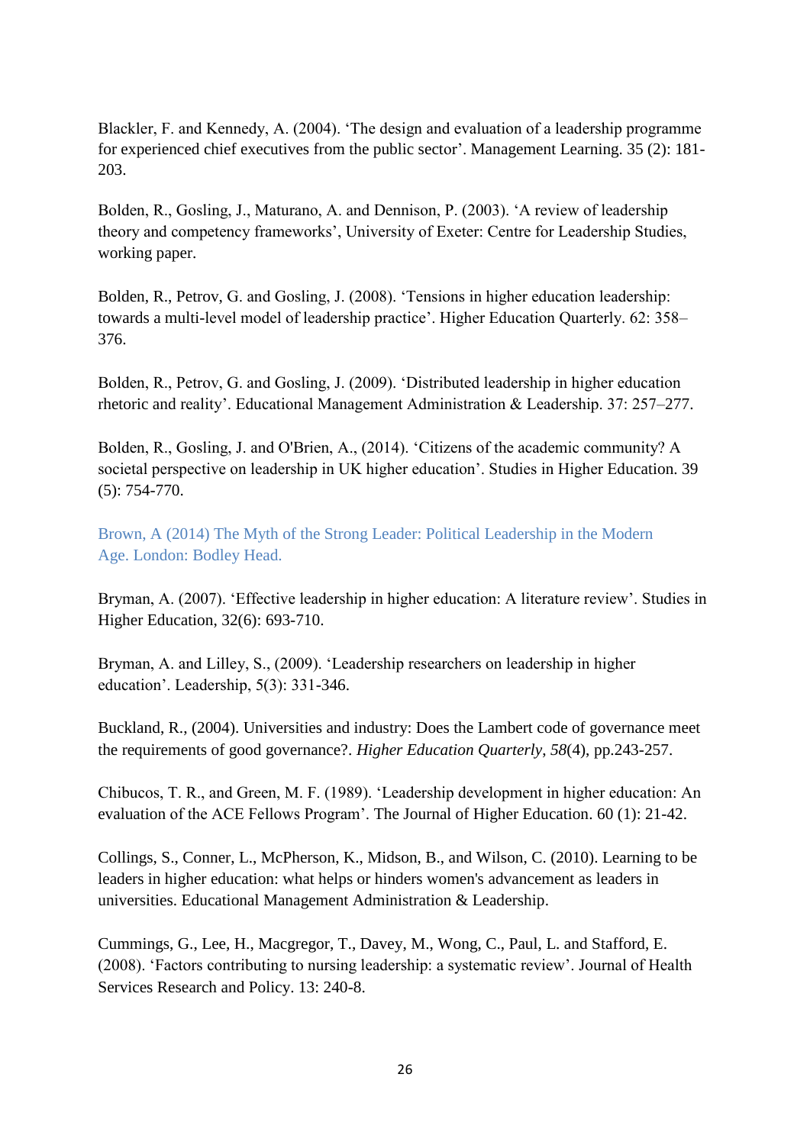Blackler, F. and Kennedy, A. (2004). 'The design and evaluation of a leadership programme for experienced chief executives from the public sector'. Management Learning. 35 (2): 181- 203.

Bolden, R., Gosling, J., Maturano, A. and Dennison, P. (2003). 'A review of leadership theory and competency frameworks', University of Exeter: Centre for Leadership Studies, working paper.

Bolden, R., Petrov, G. and Gosling, J. (2008). 'Tensions in higher education leadership: towards a multi-level model of leadership practice'. Higher Education Quarterly. 62: 358– 376.

Bolden, R., Petrov, G. and Gosling, J. (2009). 'Distributed leadership in higher education rhetoric and reality'. Educational Management Administration & Leadership. 37: 257–277.

Bolden, R., Gosling, J. and O'Brien, A., (2014). 'Citizens of the academic community? A societal perspective on leadership in UK higher education'. Studies in Higher Education. 39 (5): 754-770.

Brown, A (2014) The Myth of the Strong Leader: Political Leadership in the Modern Age. London: Bodley Head.

Bryman, A. (2007). 'Effective leadership in higher education: A literature review'. Studies in Higher Education, 32(6): 693-710.

Bryman, A. and Lilley, S., (2009). 'Leadership researchers on leadership in higher education'. Leadership, 5(3): 331-346.

Buckland, R., (2004). Universities and industry: Does the Lambert code of governance meet the requirements of good governance?. *Higher Education Quarterly*, *58*(4), pp.243-257.

Chibucos, T. R., and Green, M. F. (1989). 'Leadership development in higher education: An evaluation of the ACE Fellows Program'. The Journal of Higher Education. 60 (1): 21-42.

Collings, S., Conner, L., McPherson, K., Midson, B., and Wilson, C. (2010). Learning to be leaders in higher education: what helps or hinders women's advancement as leaders in universities. Educational Management Administration & Leadership.

Cummings, G., Lee, H., Macgregor, T., Davey, M., Wong, C., Paul, L. and Stafford, E. (2008). 'Factors contributing to nursing leadership: a systematic review'. Journal of Health Services Research and Policy. 13: 240-8.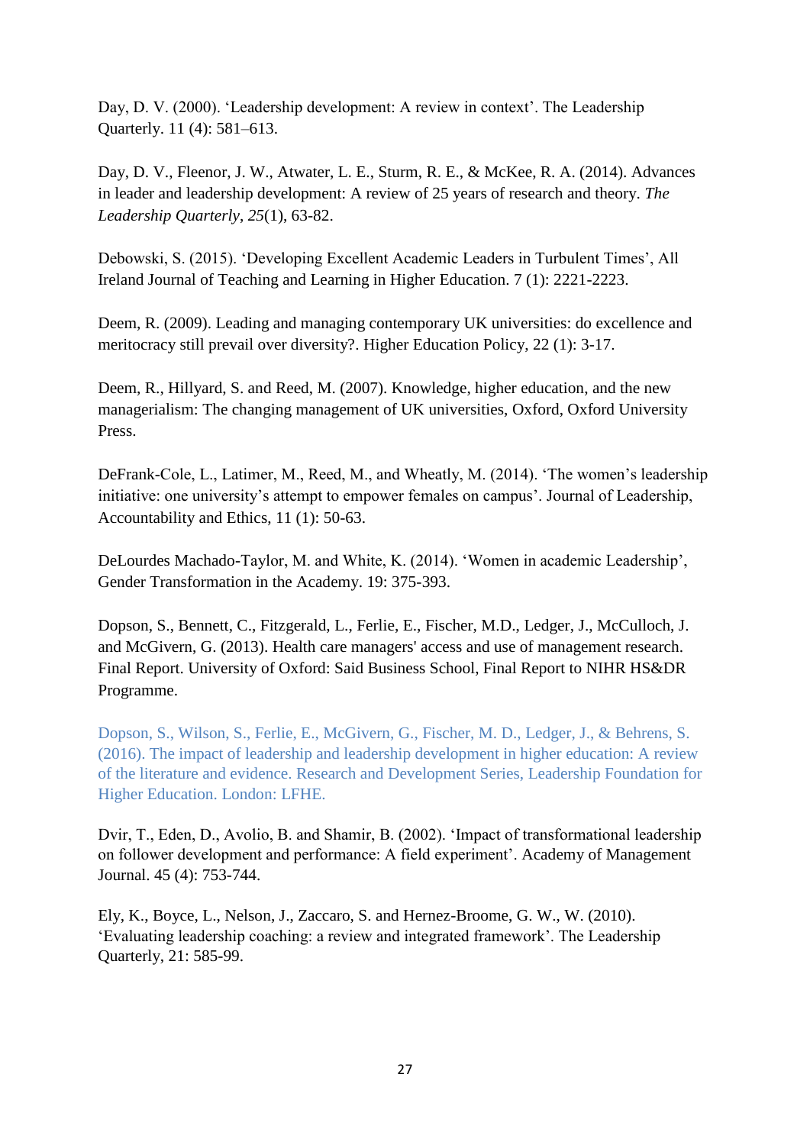Day, D. V. (2000). 'Leadership development: A review in context'. The Leadership Quarterly. 11 (4): 581–613.

Day, D. V., Fleenor, J. W., Atwater, L. E., Sturm, R. E., & McKee, R. A. (2014). Advances in leader and leadership development: A review of 25 years of research and theory. *The Leadership Quarterly*, *25*(1), 63-82.

Debowski, S. (2015). 'Developing Excellent Academic Leaders in Turbulent Times', All Ireland Journal of Teaching and Learning in Higher Education. 7 (1): 2221-2223.

Deem, R. (2009). Leading and managing contemporary UK universities: do excellence and meritocracy still prevail over diversity?. Higher Education Policy, 22 (1): 3-17.

Deem, R., Hillyard, S. and Reed, M. (2007). Knowledge, higher education, and the new managerialism: The changing management of UK universities, Oxford, Oxford University Press.

DeFrank-Cole, L., Latimer, M., Reed, M., and Wheatly, M. (2014). 'The women's leadership initiative: one university's attempt to empower females on campus'. Journal of Leadership, Accountability and Ethics, 11 (1): 50-63.

DeLourdes Machado-Taylor, M. and White, K. (2014). 'Women in academic Leadership', Gender Transformation in the Academy. 19: 375-393.

Dopson, S., Bennett, C., Fitzgerald, L., Ferlie, E., Fischer, M.D., Ledger, J., McCulloch, J. and McGivern, G. (2013). Health care managers' access and use of management research. Final Report. University of Oxford: Said Business School, Final Report to NIHR HS&DR Programme.

Dopson, S., Wilson, S., Ferlie, E., McGivern, G., Fischer, M. D., Ledger, J., & Behrens, S. (2016). The impact of leadership and leadership development in higher education: A review of the literature and evidence. Research and Development Series, Leadership Foundation for Higher Education. London: LFHE.

Dvir, T., Eden, D., Avolio, B. and Shamir, B. (2002). 'Impact of transformational leadership on follower development and performance: A field experiment'. Academy of Management Journal. 45 (4): 753-744.

Ely, K., Boyce, L., Nelson, J., Zaccaro, S. and Hernez-Broome, G. W., W. (2010). 'Evaluating leadership coaching: a review and integrated framework'. The Leadership Quarterly, 21: 585-99.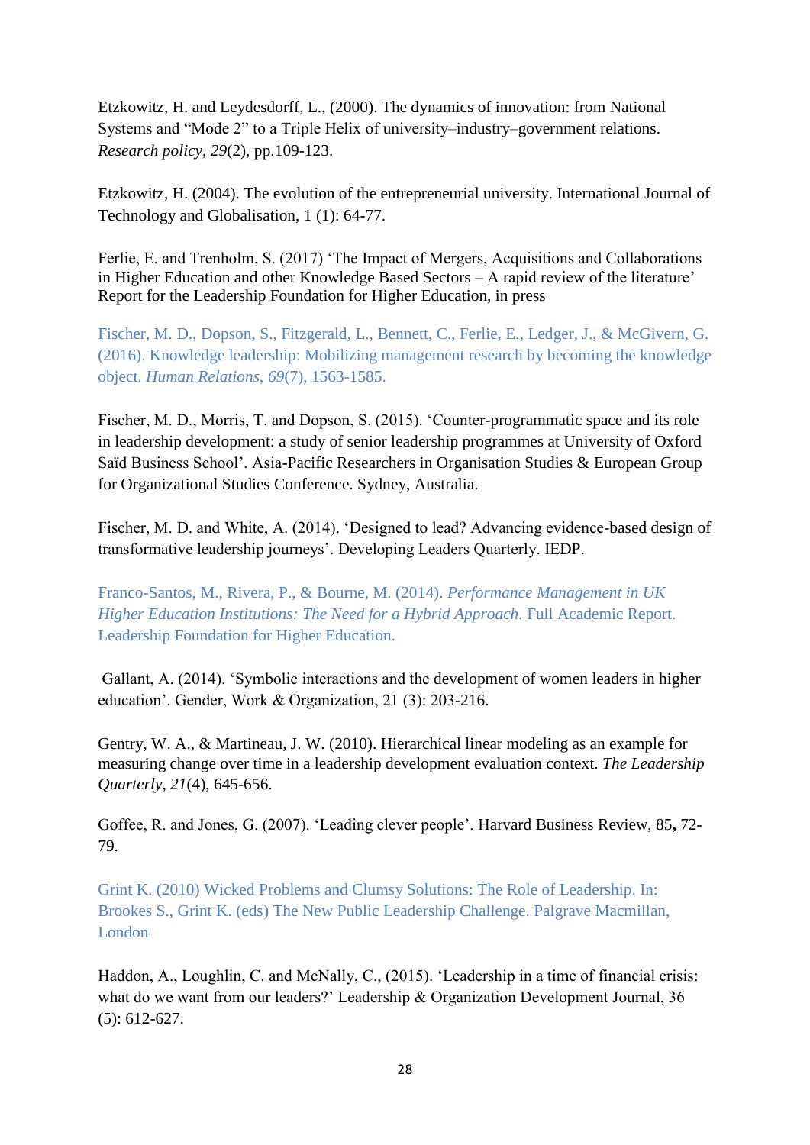Etzkowitz, H. and Leydesdorff, L., (2000). The dynamics of innovation: from National Systems and "Mode 2" to a Triple Helix of university–industry–government relations. *Research policy*, *29*(2), pp.109-123.

Etzkowitz, H. (2004). The evolution of the entrepreneurial university. International Journal of Technology and Globalisation, 1 (1): 64-77.

Ferlie, E. and Trenholm, S. (2017) 'The Impact of Mergers, Acquisitions and Collaborations in Higher Education and other Knowledge Based Sectors – A rapid review of the literature' Report for the Leadership Foundation for Higher Education, in press

Fischer, M. D., Dopson, S., Fitzgerald, L., Bennett, C., Ferlie, E., Ledger, J., & McGivern, G. (2016). Knowledge leadership: Mobilizing management research by becoming the knowledge object. *Human Relations*, *69*(7), 1563-1585.

Fischer, M. D., Morris, T. and Dopson, S. (2015). 'Counter-programmatic space and its role in leadership development: a study of senior leadership programmes at University of Oxford Saïd Business School'. Asia-Pacific Researchers in Organisation Studies & European Group for Organizational Studies Conference. Sydney, Australia.

Fischer, M. D. and White, A. (2014). 'Designed to lead? Advancing evidence-based design of transformative leadership journeys'. Developing Leaders Quarterly. IEDP.

Franco-Santos, M., Rivera, P., & Bourne, M. (2014). *Performance Management in UK Higher Education Institutions: The Need for a Hybrid Approach.* Full Academic Report. Leadership Foundation for Higher Education.

Gallant, A. (2014). 'Symbolic interactions and the development of women leaders in higher education'. Gender, Work & Organization, 21 (3): 203-216.

Gentry, W. A., & Martineau, J. W. (2010). Hierarchical linear modeling as an example for measuring change over time in a leadership development evaluation context. *The Leadership Quarterly*, *21*(4), 645-656.

Goffee, R. and Jones, G. (2007). 'Leading clever people'. Harvard Business Review, 85**,** 72- 79.

Grint K. (2010) Wicked Problems and Clumsy Solutions: The Role of Leadership. In: Brookes S., Grint K. (eds) The New Public Leadership Challenge. Palgrave Macmillan, London

Haddon, A., Loughlin, C. and McNally, C., (2015). 'Leadership in a time of financial crisis: what do we want from our leaders?' Leadership & Organization Development Journal, 36 (5): 612-627.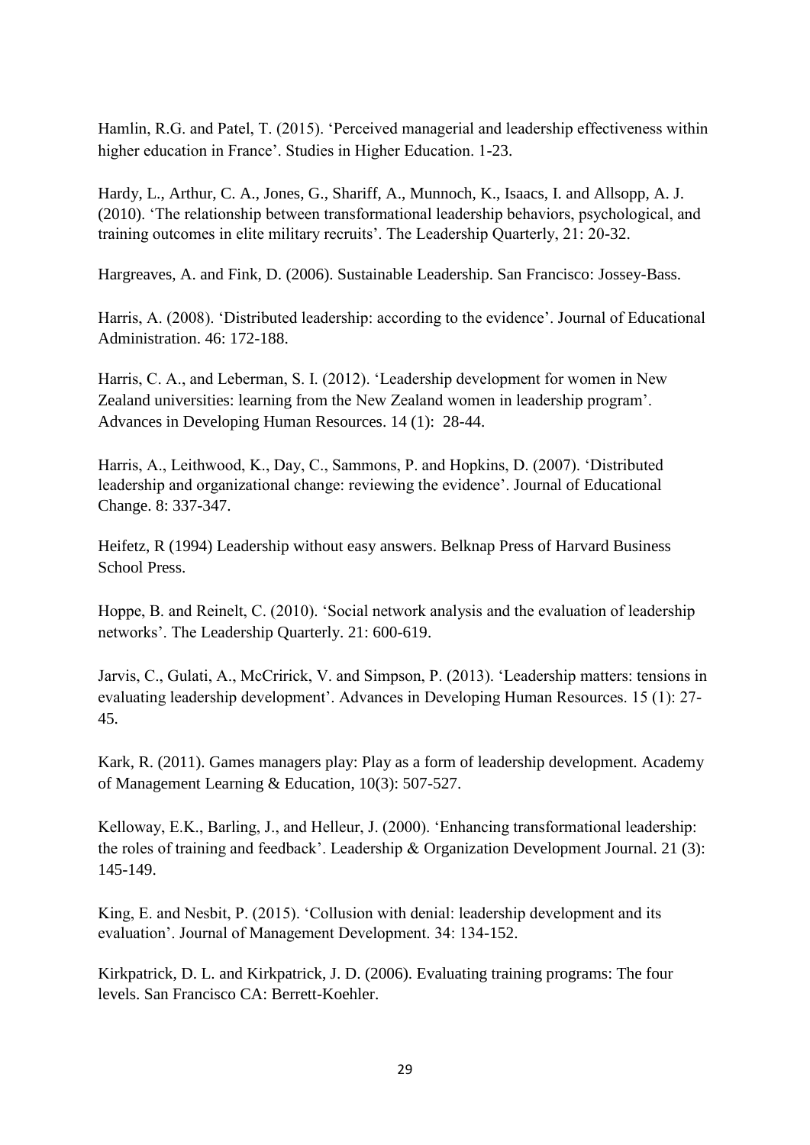Hamlin, R.G. and Patel, T. (2015). 'Perceived managerial and leadership effectiveness within higher education in France'. Studies in Higher Education. 1-23.

Hardy, L., Arthur, C. A., Jones, G., Shariff, A., Munnoch, K., Isaacs, I. and Allsopp, A. J. (2010). 'The relationship between transformational leadership behaviors, psychological, and training outcomes in elite military recruits'. The Leadership Quarterly, 21: 20-32.

Hargreaves, A. and Fink, D. (2006). Sustainable Leadership. San Francisco: Jossey-Bass.

Harris, A. (2008). 'Distributed leadership: according to the evidence'. Journal of Educational Administration. 46: 172-188.

Harris, C. A., and Leberman, S. I. (2012). 'Leadership development for women in New Zealand universities: learning from the New Zealand women in leadership program'. Advances in Developing Human Resources. 14 (1): 28-44.

Harris, A., Leithwood, K., Day, C., Sammons, P. and Hopkins, D. (2007). 'Distributed leadership and organizational change: reviewing the evidence'. Journal of Educational Change. 8: 337-347.

Heifetz, R (1994) Leadership without easy answers. Belknap Press of Harvard Business School Press.

Hoppe, B. and Reinelt, C. (2010). 'Social network analysis and the evaluation of leadership networks'. The Leadership Quarterly. 21: 600-619.

Jarvis, C., Gulati, A., McCririck, V. and Simpson, P. (2013). 'Leadership matters: tensions in evaluating leadership development'. Advances in Developing Human Resources. 15 (1): 27- 45.

Kark, R. (2011). Games managers play: Play as a form of leadership development. Academy of Management Learning & Education, 10(3): 507-527.

Kelloway, E.K., Barling, J., and Helleur, J. (2000). 'Enhancing transformational leadership: the roles of training and feedback'. Leadership & Organization Development Journal. 21 (3): 145-149.

King, E. and Nesbit, P. (2015). 'Collusion with denial: leadership development and its evaluation'. Journal of Management Development. 34: 134-152.

Kirkpatrick, D. L. and Kirkpatrick, J. D. (2006). Evaluating training programs: The four levels. San Francisco CA: Berrett-Koehler.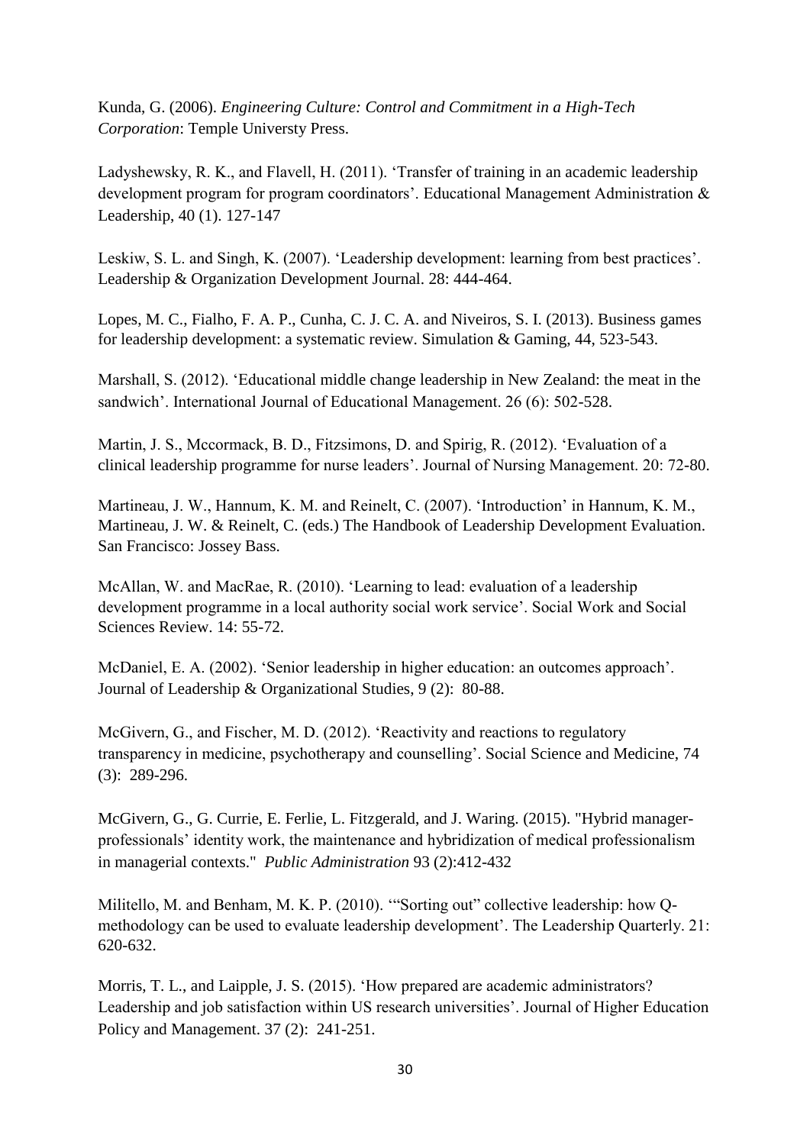Kunda, G. (2006). *Engineering Culture: Control and Commitment in a High-Tech Corporation*: Temple Universty Press.

Ladyshewsky, R. K., and Flavell, H. (2011). 'Transfer of training in an academic leadership development program for program coordinators'. Educational Management Administration & Leadership, 40 (1). 127-147

Leskiw, S. L. and Singh, K. (2007). 'Leadership development: learning from best practices'. Leadership & Organization Development Journal. 28: 444-464.

Lopes, M. C., Fialho, F. A. P., Cunha, C. J. C. A. and Niveiros, S. I. (2013). Business games for leadership development: a systematic review. Simulation & Gaming, 44, 523-543.

Marshall, S. (2012). 'Educational middle change leadership in New Zealand: the meat in the sandwich'. International Journal of Educational Management. 26 (6): 502-528.

Martin, J. S., Mccormack, B. D., Fitzsimons, D. and Spirig, R. (2012). 'Evaluation of a clinical leadership programme for nurse leaders'. Journal of Nursing Management. 20: 72-80.

Martineau, J. W., Hannum, K. M. and Reinelt, C. (2007). 'Introduction' in Hannum, K. M., Martineau, J. W. & Reinelt, C. (eds.) The Handbook of Leadership Development Evaluation. San Francisco: Jossey Bass.

McAllan, W. and MacRae, R. (2010). 'Learning to lead: evaluation of a leadership development programme in a local authority social work service'. Social Work and Social Sciences Review. 14: 55-72.

McDaniel, E. A. (2002). 'Senior leadership in higher education: an outcomes approach'. Journal of Leadership & Organizational Studies, 9 (2): 80-88.

McGivern, G., and Fischer, M. D. (2012). 'Reactivity and reactions to regulatory transparency in medicine, psychotherapy and counselling'. Social Science and Medicine, 74 (3): 289-296.

McGivern, G., G. Currie, E. Ferlie, L. Fitzgerald, and J. Waring. (2015). "Hybrid managerprofessionals' identity work, the maintenance and hybridization of medical professionalism in managerial contexts." *Public Administration* 93 (2):412-432

Militello, M. and Benham, M. K. P. (2010). '"Sorting out" collective leadership: how Qmethodology can be used to evaluate leadership development'. The Leadership Quarterly. 21: 620-632.

Morris, T. L., and Laipple, J. S. (2015). 'How prepared are academic administrators? Leadership and job satisfaction within US research universities'. Journal of Higher Education Policy and Management. 37 (2): 241-251.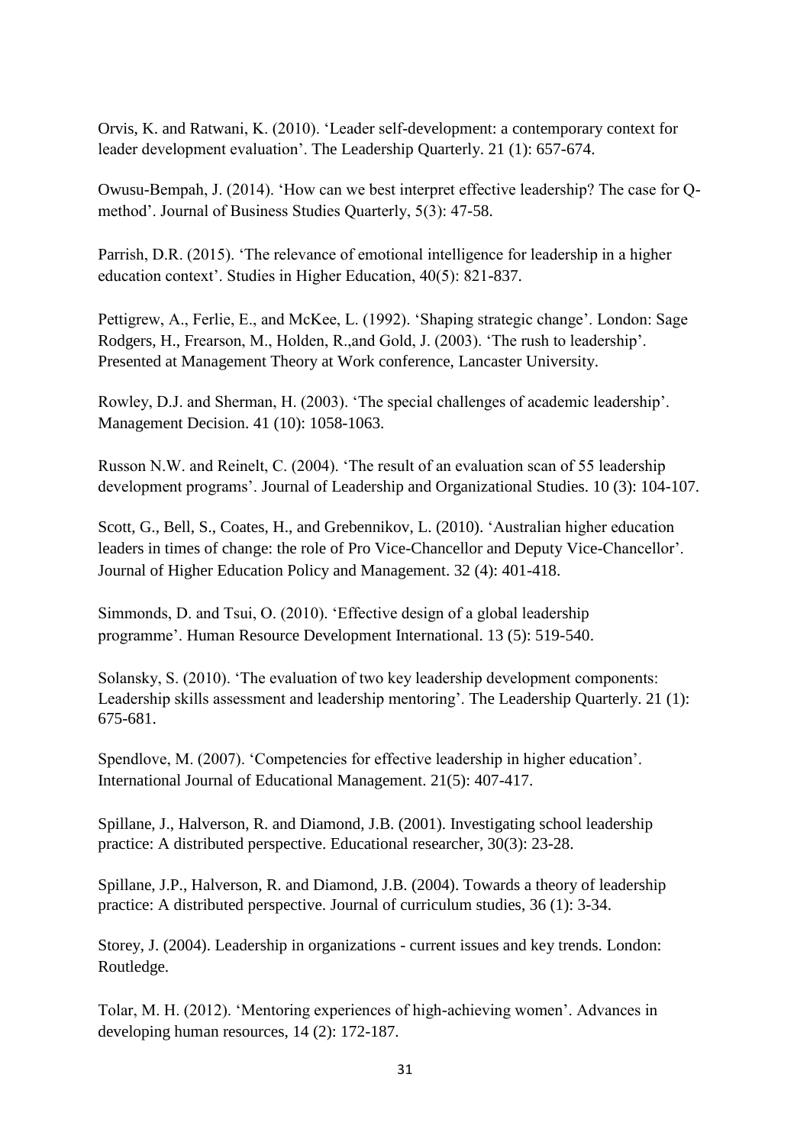Orvis, K. and Ratwani, K. (2010). 'Leader self-development: a contemporary context for leader development evaluation'. The Leadership Quarterly. 21 (1): 657-674.

Owusu-Bempah, J. (2014). 'How can we best interpret effective leadership? The case for Qmethod'. Journal of Business Studies Quarterly, 5(3): 47-58.

Parrish, D.R. (2015). 'The relevance of emotional intelligence for leadership in a higher education context'. Studies in Higher Education, 40(5): 821-837.

Pettigrew, A., Ferlie, E., and McKee, L. (1992). 'Shaping strategic change'. London: Sage Rodgers, H., Frearson, M., Holden, R.,and Gold, J. (2003). 'The rush to leadership'. Presented at Management Theory at Work conference, Lancaster University.

Rowley, D.J. and Sherman, H. (2003). 'The special challenges of academic leadership'. Management Decision. 41 (10): 1058-1063.

Russon N.W. and Reinelt, C. (2004). 'The result of an evaluation scan of 55 leadership development programs'. Journal of Leadership and Organizational Studies. 10 (3): 104-107.

Scott, G., Bell, S., Coates, H., and Grebennikov, L. (2010). 'Australian higher education leaders in times of change: the role of Pro Vice-Chancellor and Deputy Vice-Chancellor'. Journal of Higher Education Policy and Management. 32 (4): 401-418.

Simmonds, D. and Tsui, O. (2010). 'Effective design of a global leadership programme'. Human Resource Development International. 13 (5): 519-540.

Solansky, S. (2010). 'The evaluation of two key leadership development components: Leadership skills assessment and leadership mentoring'. The Leadership Quarterly. 21 (1): 675-681.

Spendlove, M. (2007). 'Competencies for effective leadership in higher education'. International Journal of Educational Management. 21(5): 407-417.

Spillane, J., Halverson, R. and Diamond, J.B. (2001). Investigating school leadership practice: A distributed perspective. Educational researcher, 30(3): 23-28.

Spillane, J.P., Halverson, R. and Diamond, J.B. (2004). Towards a theory of leadership practice: A distributed perspective. Journal of curriculum studies, 36 (1): 3-34.

Storey, J. (2004). Leadership in organizations - current issues and key trends. London: Routledge.

Tolar, M. H. (2012). 'Mentoring experiences of high-achieving women'. Advances in developing human resources, 14 (2): 172-187.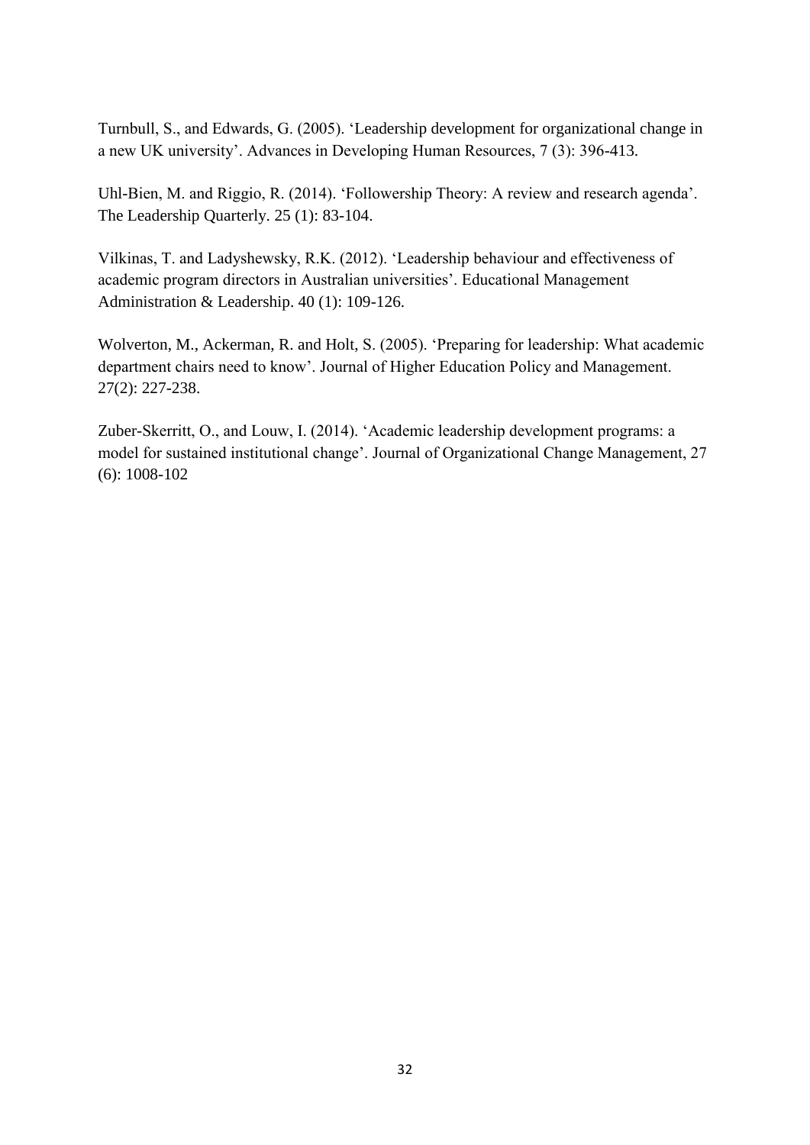Turnbull, S., and Edwards, G. (2005). 'Leadership development for organizational change in a new UK university'. Advances in Developing Human Resources, 7 (3): 396-413.

Uhl-Bien, M. and Riggio, R. (2014). 'Followership Theory: A review and research agenda'. The Leadership Quarterly. 25 (1): 83-104.

Vilkinas, T. and Ladyshewsky, R.K. (2012). 'Leadership behaviour and effectiveness of academic program directors in Australian universities'. Educational Management Administration & Leadership. 40 (1): 109-126.

Wolverton, M., Ackerman, R. and Holt, S. (2005). 'Preparing for leadership: What academic department chairs need to know'. Journal of Higher Education Policy and Management. 27(2): 227-238.

Zuber-Skerritt, O., and Louw, I. (2014). 'Academic leadership development programs: a model for sustained institutional change'. Journal of Organizational Change Management, 27 (6): 1008-102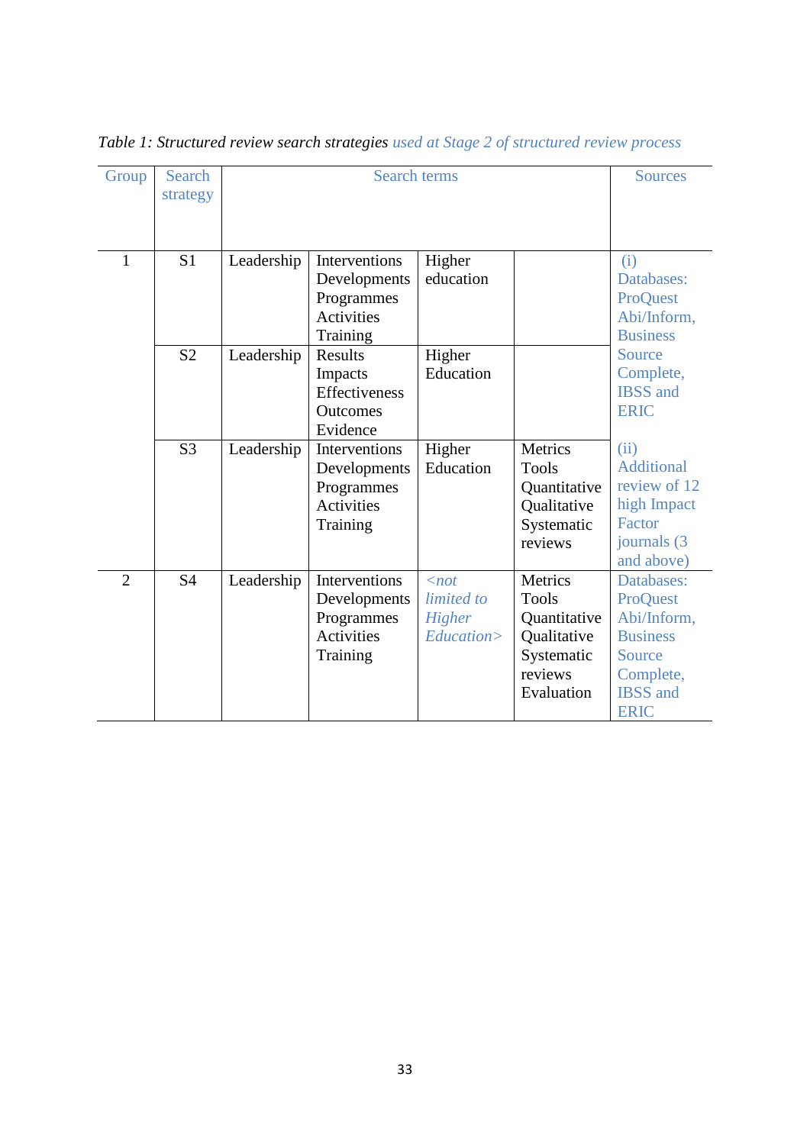| Group          | Search         |            | <b>Sources</b>    |               |              |                   |
|----------------|----------------|------------|-------------------|---------------|--------------|-------------------|
|                | strategy       |            |                   |               |              |                   |
|                |                |            |                   |               |              |                   |
| 1              | S <sub>1</sub> | Leadership | Interventions     | Higher        |              | (i)               |
|                |                |            | Developments      | education     |              | Databases:        |
|                |                |            | Programmes        |               |              | ProQuest          |
|                |                |            | Activities        |               |              | Abi/Inform,       |
|                |                |            | Training          |               |              | <b>Business</b>   |
|                | S <sub>2</sub> | Leadership | Results           | Higher        |              | Source            |
|                |                |            | Impacts           | Education     |              | Complete,         |
|                |                |            | Effectiveness     |               |              | <b>IBSS</b> and   |
|                |                |            | Outcomes          |               |              | <b>ERIC</b>       |
|                |                |            | Evidence          |               |              |                   |
|                | S <sub>3</sub> | Leadership | Interventions     | Higher        | Metrics      | (ii)              |
|                |                |            | Developments      | Education     | <b>Tools</b> | <b>Additional</b> |
|                |                |            | Programmes        |               | Quantitative | review of 12      |
|                |                |            | <b>Activities</b> |               | Qualitative  | high Impact       |
|                |                |            | Training          |               | Systematic   | Factor            |
|                |                |            |                   |               | reviews      | journals (3)      |
|                |                |            |                   |               |              | and above)        |
| $\overline{2}$ | <b>S4</b>      | Leadership | Interventions     | $\langle not$ | Metrics      | Databases:        |
|                |                |            | Developments      | limited to    | <b>Tools</b> | ProQuest          |
|                |                |            | Programmes        | Higher        | Quantitative | Abi/Inform,       |
|                |                |            | Activities        | Education>    | Qualitative  | <b>Business</b>   |
|                |                |            | Training          |               | Systematic   | Source            |
|                |                |            |                   |               | reviews      | Complete,         |
|                |                |            |                   |               | Evaluation   | <b>IBSS</b> and   |
|                |                |            |                   |               |              | <b>ERIC</b>       |

*Table 1: Structured review search strategies used at Stage 2 of structured review process*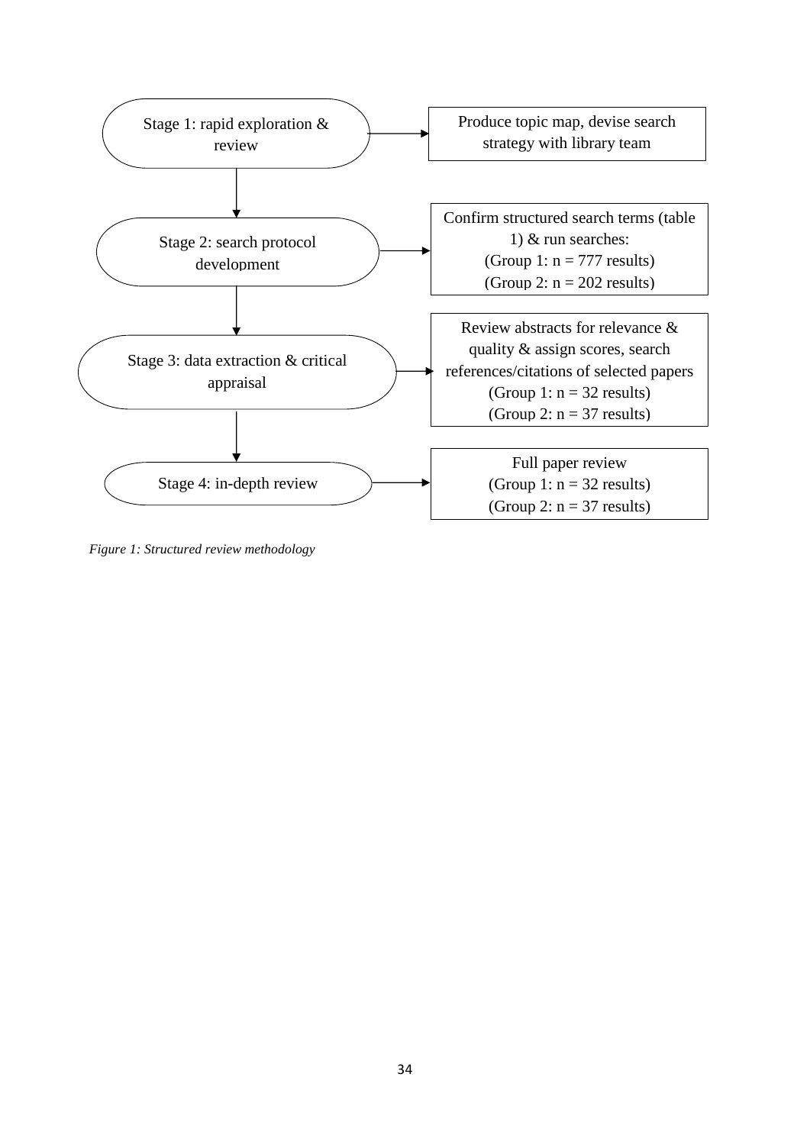

*Figure 1: Structured review methodology*